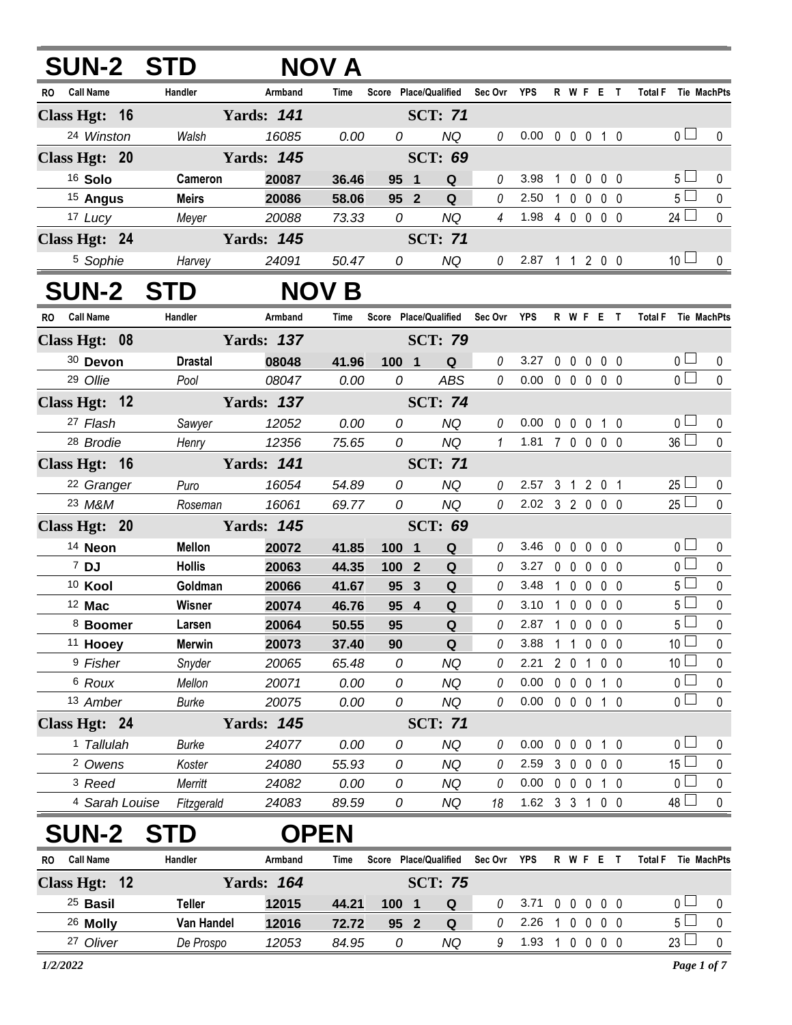| <b>SUN-2 STD</b>              |                        |                   | NOV A         |                       |                |                        |                                   |                            |   |                        |             |                   |                     |                        |
|-------------------------------|------------------------|-------------------|---------------|-----------------------|----------------|------------------------|-----------------------------------|----------------------------|---|------------------------|-------------|-------------------|---------------------|------------------------|
| RO Call Name                  | Handler                | Armband           | Time          |                       |                |                        | Score Place/Qualified Sec Ovr YPS |                            |   | R W F E T              |             |                   | Total F Tie MachPts |                        |
| Class Hgt: 16                 |                        | <b>Yards: 141</b> |               |                       | <b>SCT: 71</b> |                        |                                   |                            |   |                        |             |                   |                     |                        |
| 24 Winston                    | Walsh                  | 16085             | 0.00          | 0                     |                | NQ                     | $\it{0}$                          | $0.00 \t0 \t0 \t0 \t1 \t0$ |   |                        |             |                   | 0 <sub>1</sub>      | $\mathbf 0$            |
| Class Hgt: 20                 |                        | <b>Yards: 145</b> |               |                       | <b>SCT: 69</b> |                        |                                   |                            |   |                        |             |                   |                     |                        |
| 16 Solo                       | Cameron                | 20087             | 36.46         | 95 1                  |                | Q                      | 0                                 | 3.98                       | 1 | $\mathbf 0$            | $\mathbf 0$ | 0 <sub>0</sub>    | 5 <sub>1</sub>      | 0                      |
| <sup>15</sup> Angus           | <b>Meirs</b>           | 20086             | 58.06         | 95 <sup>2</sup>       |                | Q                      | 0                                 | 2.50                       |   | 1 0 0 0 0              |             |                   | $5\Box$             | $\pmb{0}$              |
| 17 Lucy                       | Meyer                  | 20088             | 73.33         | 0                     |                | <b>NQ</b>              | $\overline{4}$                    | 1.98 4 0 0 0 0             |   |                        |             |                   | $24$ $\Box$         | $\pmb{0}$              |
| Class Hgt: 24                 |                        | <b>Yards: 145</b> |               |                       | <b>SCT: 71</b> |                        |                                   |                            |   |                        |             |                   |                     |                        |
| <sup>5</sup> Sophie           | Harvey                 | 24091             | 50.47         | 0                     |                | NQ                     | $\theta$                          | 2.87 1 1 2 0 0             |   |                        |             |                   | 10 <sup>1</sup>     | 0                      |
| <b>SUN-2 STD</b>              |                        |                   | <b>NOV B</b>  |                       |                |                        |                                   |                            |   |                        |             |                   |                     |                        |
| RO Call Name                  | Handler                | Armband           | Time          | Score Place/Qualified |                |                        | Sec Ovr YPS                       |                            |   | R W F E T              |             |                   | Total F Tie MachPts |                        |
| Class Hgt: 08                 |                        | <b>Yards: 137</b> |               |                       | <b>SCT: 79</b> |                        |                                   |                            |   |                        |             |                   |                     |                        |
| 30 Devon                      | <b>Drastal</b>         | 08048             | 41.96         | 100 1                 |                | $\mathbf Q$            | 0                                 | 3.27                       |   | 00000                  |             |                   | 0 <sub>1</sub>      | 0                      |
| 29 Ollie                      | Pool                   | 08047             | 0.00          | 0                     |                | <b>ABS</b>             | $\mathcal O$                      | $0.00 \t0 \t0 \t0 \t0 \t0$ |   |                        |             |                   | $\overline{0}$      | $\mathbf{0}$           |
| Class Hgt: 12                 |                        | <b>Yards: 137</b> |               |                       | <b>SCT: 74</b> |                        |                                   |                            |   |                        |             |                   |                     |                        |
| 27 Flash                      | Sawyer                 | 12052             | 0.00          | 0                     |                | <b>NQ</b>              | $\theta$                          | 0.00                       |   | 0 0 0 1 0              |             |                   | 0 <sub>l</sub>      | $\mathbf 0$            |
| <sup>28</sup> Brodie          | Henry                  | 12356             | 75.65         | 0                     |                | <b>NQ</b>              | $\mathbf{1}$                      | 1.81 7 0 0 0 0             |   |                        |             |                   | 36 <sup>1</sup>     | $\mathbf{0}$           |
| Class Hgt: 16                 |                        | <b>Yards: 141</b> |               |                       | <b>SCT: 71</b> |                        |                                   |                            |   |                        |             |                   |                     |                        |
| <sup>22</sup> Granger         | Puro                   | 16054             | 54.89         | 0                     |                | <b>NQ</b>              | $\theta$                          | 2.57 3 1 2 0 1             |   |                        |             |                   | $25$ $\Box$         | $\mathbf 0$            |
| 23 M&M                        | Roseman                | 16061             | 69.77         | 0                     |                | <b>NQ</b>              | $\mathcal O$                      | 2.02 3 2 0 0 0             |   |                        |             |                   | $25\Box$            | $\mathbf{0}$           |
| Class Hgt: 20                 |                        | <b>Yards: 145</b> |               |                       | <b>SCT: 69</b> |                        |                                   |                            |   |                        |             |                   |                     |                        |
| <sup>14</sup> Neon            | <b>Mellon</b>          | 20072             | 41.85         | 100 1                 |                | Q                      | 0                                 | 3.46                       |   | 00000                  |             |                   | $\overline{0}$      | 0                      |
| 7 DJ                          | <b>Hollis</b>          | 20063             | 44.35         | 100 2                 |                | Q                      | 0                                 | 3.27 0 0 0 0 0             |   |                        |             |                   | $\overline{0}$      | $\pmb{0}$              |
| <sup>10</sup> Kool            | Goldman                | 20066             | 41.67         | 95                    | $\mathbf{3}$   | Q                      | 0                                 | 3.48                       |   | 10000                  |             |                   | 5 <sup>1</sup>      | $\pmb{0}$              |
| 12 Mac                        | Wisner                 | 20074             | 46.76         | 95 4                  |                | Q                      | 0                                 | 3.10                       |   | 10000                  |             |                   | $5\Box$             | $\pmb{0}$              |
| 8 Boomer                      | Larsen                 | 20064             | 50.55         | 95                    |                | Q                      | 0                                 | 2.87 1 0 0 0 0             |   |                        |             |                   | 5 <sup>1</sup>      | $\pmb{0}$              |
| <sup>11</sup> Hooey           | <b>Merwin</b>          | 20073             | 37.40         | 90                    |                | Q                      | 0                                 | 3.88                       |   | $1\quad1$              |             | $0\quad 0\quad 0$ | 10 <sup>1</sup>     | 0                      |
| <sup>9</sup> Fisher           | Snyder                 | 20065             | 65.48         | 0                     |                | <b>NQ</b>              | 0                                 | 2.21                       |   | 2 0 1 0 0              |             |                   | 10 l<br>0 l         | 0                      |
| <sup>6</sup> Roux<br>13 Amber | Mellon<br><b>Burke</b> | 20071<br>20075    | 0.00<br>0.00  | 0<br>0                |                | <b>NQ</b><br><b>NQ</b> | 0<br>0                            | 0.00<br>0.00               |   | 0 0 0 1 0<br>0 0 0 1 0 |             |                   | 0 l                 | $\pmb{0}$<br>$\pmb{0}$ |
|                               |                        | <b>Yards: 145</b> |               |                       | <b>SCT: 71</b> |                        |                                   |                            |   |                        |             |                   |                     |                        |
| Class Hgt: 24<br>1 Tallulah   |                        |                   |               |                       |                | <b>NQ</b>              | 0                                 | 0.00                       |   | $0\quad 0$             | $\mathbf 0$ | $1\quad0$         | 0 <sup>1</sup>      |                        |
| <sup>2</sup> Owens            | <b>Burke</b><br>Koster | 24077<br>24080    | 0.00<br>55.93 | 0<br>0                |                | <b>NQ</b>              | 0                                 | 2.59                       |   | $3\quad0$              | $\mathbf 0$ | $0\quad 0$        | 15 <sup>1</sup>     | 0<br>0                 |
| <sup>3</sup> Reed             | Merritt                | 24082             | 0.00          | 0                     |                | NQ                     | 0                                 | 0.00                       |   | 0 0 0 1 0              |             |                   | $0-$                | 0                      |
| 4 Sarah Louise                | Fitzgerald             | 24083             | 89.59         | 0                     |                | NQ                     | 18                                | 1.62 3 3 1 0 0             |   |                        |             |                   | 48 l                | 0                      |
| <b>SUN-2</b>                  |                        |                   | <b>OPEN</b>   |                       |                |                        |                                   |                            |   |                        |             |                   |                     |                        |
| <b>Call Name</b><br>RO        | Handler                | Armband           | Time          | Score Place/Qualified |                |                        | Sec Ovr                           | YPS                        |   | R W F E T              |             |                   | <b>Total F</b>      | Tie MachPts            |
| Class Hgt: 12                 |                        | <b>Yards: 164</b> |               |                       | <b>SCT: 75</b> |                        |                                   |                            |   |                        |             |                   |                     |                        |
| <sup>25</sup> Basil           | <b>Teller</b>          | 12015             | 44.21         | 1001                  |                | Q                      | 0                                 | 3.71                       |   | 00000                  |             |                   | 0 l                 | 0                      |
| 26 Molly                      | Van Handel             | 12016             | 72.72         | 95 2                  |                | Q                      | 0                                 | 2.26                       |   | 10000                  |             |                   | 5 <sup>1</sup>      | $\pmb{0}$              |
| 27 Oliver                     | De Prospo              | 12053             | 84.95         | 0                     |                | <b>NQ</b>              | 9                                 | 1.93 1 0 0 0 0             |   |                        |             |                   | 23 <sup>1</sup>     | $\pmb{0}$              |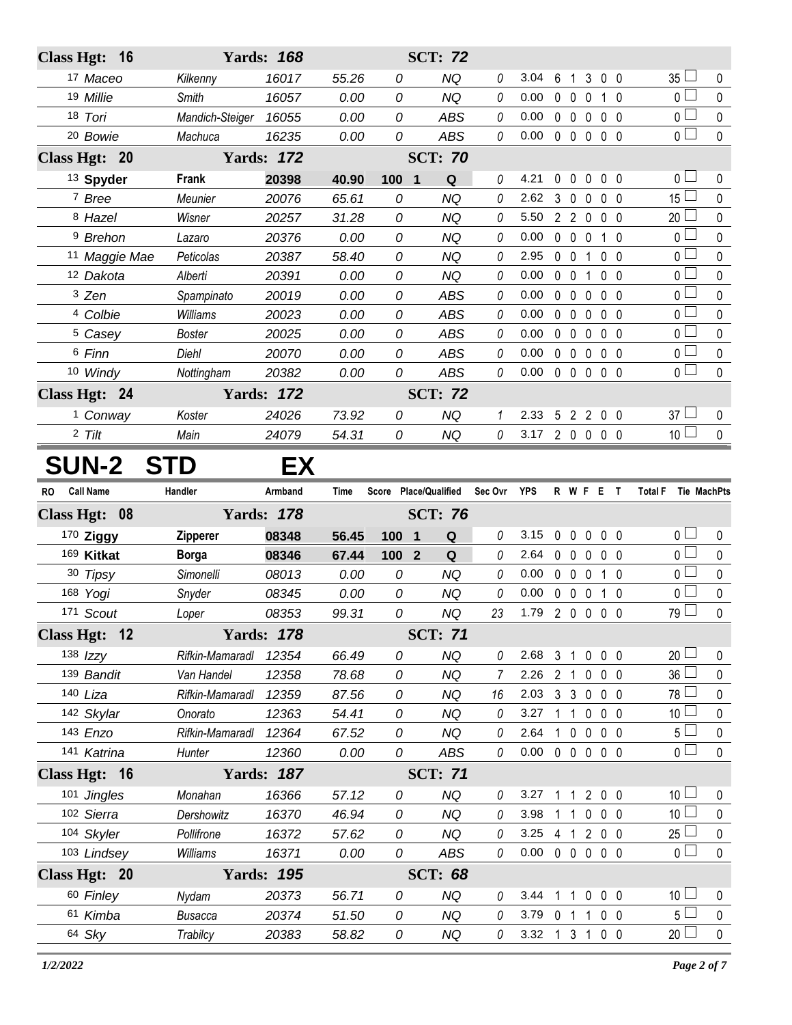| <b>Class Hgt:</b> |                     | <b>16</b>     |                 | <b>Yards: 168</b> |             |                                | <b>SCT: 72</b>                |          |            |             |                                  |              |                |                               |             |
|-------------------|---------------------|---------------|-----------------|-------------------|-------------|--------------------------------|-------------------------------|----------|------------|-------------|----------------------------------|--------------|----------------|-------------------------------|-------------|
|                   | 17 Maceo            |               | Kilkenny        | 16017             | 55.26       | 0                              | <b>NQ</b>                     | 0        | 3.04       | 6           | $\mathbf{1}$                     | 3            | 0 <sub>0</sub> | 35 <sup>1</sup>               | 0           |
|                   | 19 Millie           |               | <b>Smith</b>    | 16057             | 0.00        | 0                              | <b>NQ</b>                     | 0        | 0.00       |             | $0\quad 0$                       | $\mathbf 0$  | $1\quad0$      | 0 <sub>1</sub>                | $\mathbf 0$ |
|                   | 18 Tori             |               | Mandich-Steiger | 16055             | 0.00        | 0                              | <b>ABS</b>                    | 0        | 0.00       |             | $0\quad 0$                       | $\mathbf 0$  | 0 <sub>0</sub> | 0                             | $\pmb{0}$   |
|                   | <sup>20</sup> Bowie |               | Machuca         | 16235             | 0.00        | 0                              | <b>ABS</b>                    | 0        | 0.00       |             | $0\quad 0$                       | $\mathbf 0$  | $0\quad 0$     | $\overline{0}$                | $\pmb{0}$   |
| Class Hgt: 20     |                     |               |                 | <b>Yards: 172</b> |             |                                | <b>SCT: 70</b>                |          |            |             |                                  |              |                |                               |             |
|                   | 13 Spyder           |               | Frank           | 20398             | 40.90       | 100<br>$\overline{\mathbf{1}}$ | Q                             | $\theta$ | 4.21       | 0           | $\mathbf{0}$                     | $\mathbf 0$  | $0\quad 0$     | 0 <sub>0</sub>                | 0           |
|                   | 7 Bree              |               | Meunier         | 20076             | 65.61       | 0                              | <b>NQ</b>                     | 0        | 2.62       | 3           | $\mathbf 0$                      | $\mathbf 0$  | 0 <sub>0</sub> | 15 <sup>L</sup>               | 0           |
|                   | 8 Hazel             |               | Wisner          | 20257             | 31.28       | 0                              | <b>NQ</b>                     | 0        | 5.50       |             | 2 <sub>2</sub><br>$\overline{0}$ |              | 0 <sub>0</sub> | 20                            | 0           |
|                   | <sup>9</sup> Brehon |               | Lazaro          | 20376             | 0.00        | 0                              | <b>NQ</b>                     | 0        | 0.00       | $\mathbf 0$ | $\mathbf 0$                      | $\mathbf 0$  | 1 0            | 0 <sub>0</sub>                | $\pmb{0}$   |
|                   |                     | 11 Maggie Mae | Peticolas       | 20387             | 58.40       | 0                              | <b>NQ</b>                     | 0        | 2.95       | $\mathbf 0$ | $\mathbf 0$                      | 1            | 0 <sub>0</sub> | 0 l                           | 0           |
|                   | 12 Dakota           |               | Alberti         | 20391             | 0.00        | 0                              | <b>NQ</b>                     | 0        | 0.00       | $\mathbf 0$ | $\overline{0}$                   | $\mathbf 1$  | 0 <sub>0</sub> | 0 <sub>0</sub>                | $\pmb{0}$   |
|                   | 3 Zen               |               | Spampinato      | 20019             | 0.00        | 0                              | <b>ABS</b>                    | 0        | 0.00       |             | $0\quad 0$                       | $\mathbf 0$  | 0 <sub>0</sub> | 0 l                           | 0           |
|                   | 4 Colbie            |               | <b>Williams</b> | 20023             | 0.00        | 0                              | <b>ABS</b>                    | 0        | 0.00       |             | $0\quad 0$                       | $\mathbf 0$  | 0 <sub>0</sub> | 0 <sub>l</sub>                | 0           |
|                   | <sup>5</sup> Casey  |               | <b>Boster</b>   | 20025             | 0.00        | 0                              | <b>ABS</b>                    | 0        | 0.00       | $0\quad 0$  |                                  | $\mathbf 0$  | 0 <sub>0</sub> | 0 <sub>0</sub>                | 0           |
|                   | 6 Finn              |               | Diehl           | 20070             | 0.00        | 0                              | <b>ABS</b>                    | 0        | 0.00       |             | $0\quad 0$                       | $\mathbf 0$  | $0\quad 0$     | 0 <sub>1</sub>                | $\pmb{0}$   |
|                   | 10 Windy            |               | Nottingham      | 20382             | 0.00        | 0                              | <b>ABS</b>                    | 0        | 0.00       |             | $0\quad 0\quad 0$                |              | 0 <sub>0</sub> | 0 <sub>1</sub>                | 0           |
| Class Hgt: 24     |                     |               |                 | <b>Yards: 172</b> |             |                                | <b>SCT: 72</b>                |          |            |             |                                  |              |                |                               |             |
|                   | <sup>1</sup> Conway |               | Koster          | 24026             | 73.92       | 0                              | <b>NQ</b>                     | 1        | 2.33       | 5           |                                  | 2 2 0 0      |                | $37 \Box$                     | 0           |
|                   | $2$ Tilt            |               | Main            | 24079             | 54.31       | 0                              | <b>NQ</b>                     | 0        | 3.17       |             | 200                              |              | 0 <sub>0</sub> | 10 <sup>1</sup>               | $\mathbf 0$ |
| <b>SUN-2</b>      |                     |               | <b>STD</b>      | EX                |             |                                |                               |          |            |             |                                  |              |                |                               |             |
|                   |                     |               | Handler         |                   |             |                                |                               |          |            |             | R W F E                          |              |                | <b>Total F</b><br>Tie MachPts |             |
| <b>RO</b>         | <b>Call Name</b>    |               |                 | Armband           | <b>Time</b> |                                | Score Place/Qualified         | Sec Ovr  | <b>YPS</b> |             |                                  |              | $\mathbf{T}$   |                               |             |
| <b>Class Hgt:</b> |                     | 08            |                 | <b>Yards: 178</b> |             |                                | <b>SCT: 76</b>                |          |            |             |                                  |              |                |                               |             |
|                   | 170 Ziggy           |               | <b>Zipperer</b> | 08348             | 56.45       | 100                            | $\mathbf 1$<br>Q              | 0        | 3.15       |             |                                  | 00000        |                | 0 <sub>0</sub>                | 0           |
|                   | 169 Kitkat          |               | <b>Borga</b>    | 08346             | 67.44       | 100                            | $\overline{2}$<br>$\mathbf Q$ | 0        | 2.64       | $\mathbf 0$ | $\mathbf 0$                      | $\mathbf 0$  | $0\quad 0$     | 0 <sub>1</sub>                | 0           |
|                   | 30 Tipsy            |               | Simonelli       | 08013             | 0.00        | 0                              | <b>NQ</b>                     | 0        | 0.00       |             | $0\quad 0$                       | $\mathbf 0$  | 1 0            | 0 <sub>0</sub>                | 0           |
|                   | 168 Yogi            |               | Snyder          | 08345             | 0.00        | 0                              | <b>NQ</b>                     | 0        | 0.00       |             | $0\quad 0$<br>$\overline{0}$     |              | 1 0            | $0-$                          | 0           |
|                   | 171 Scout           |               | Loper           | 08353             | 99.31       | 0                              | <b>NQ</b>                     | 23       | 1.79       |             | 200                              |              | $0\quad 0$     | 79 L                          | 0           |
| Class Hgt: 12     |                     |               |                 | <b>Yards: 178</b> |             |                                | <b>SCT: 71</b>                |          |            |             |                                  |              |                |                               |             |
|                   | 138 $Izzy$          |               | Rifkin-Mamaradl | 12354             | 66.49       | 0                              | <b>NQ</b>                     | 0        | 2.68       |             |                                  | 3 1 0 0 0    |                | $20 \Box$                     | $\mathbf 0$ |
|                   | 139 Bandit          |               | Van Handel      | 12358             | 78.68       | 0                              | <b>NQ</b>                     | 7        | 2.26       |             |                                  | 2 1 0 0 0    |                | 36 <sup>1</sup>               | 0           |
|                   | 140 Liza            |               | Rifkin-Mamaradl | 12359             | 87.56       | 0                              | NQ                            | 16       | 2.03       |             |                                  | 3 3 0 0 0    |                | $78$ $-$                      | $\mathbf 0$ |
|                   | 142 Skylar          |               | Onorato         | 12363             | 54.41       | 0                              | <b>NQ</b>                     | 0        | 3.27       |             |                                  | 1 1 0 0 0    |                | 10 <sup>1</sup>               | 0           |
|                   | 143 Enzo            |               | Rifkin-Mamaradl | 12364             | 67.52       | 0                              | <b>NQ</b>                     | 0        | 2.64       |             |                                  | 1 0 0 0 0    |                | 5 <sub>1</sub>                | $\pmb{0}$   |
|                   | 141 Katrina         |               | Hunter          | 12360             | 0.00        | 0                              | ABS                           | 0        | 0.00       |             |                                  | 00000        |                | 0 <sub>0</sub>                | $\mathbf 0$ |
| Class Hgt: 16     |                     |               |                 | <b>Yards: 187</b> |             |                                | <b>SCT: 71</b>                |          |            |             |                                  |              |                |                               |             |
|                   | 101 Jingles         |               | Monahan         | 16366             | 57.12       | 0                              | <b>NQ</b>                     | 0        | 3.27       |             |                                  | 1 1 2 0 0    |                | 10 <sup>1</sup>               | 0           |
|                   | 102 Sierra          |               | Dershowitz      | 16370             | 46.94       | 0                              | <b>NQ</b>                     | 0        | 3.98       |             | $1\quad1$                        | $\mathbf 0$  | $0\quad 0$     | 10 <sup>1</sup>               | $\mathbf 0$ |
|                   | 104 Skyler          |               | Pollifrone      | 16372             | 57.62       | 0                              | <b>NQ</b>                     | 0        | 3.25       | $4 \quad 1$ |                                  | 200          |                | $25 \Box$                     | $\pmb{0}$   |
|                   | 103 Lindsey         |               | Williams        | 16371             | 0.00        | 0                              | ABS                           | 0        | 0.00       |             |                                  | 00000        |                | 0 <sup>1</sup>                | $\mathbf 0$ |
| Class Hgt: 20     |                     |               |                 | <b>Yards: 195</b> |             |                                | <b>SCT: 68</b>                |          |            |             |                                  |              |                |                               |             |
|                   | 60 Finley           |               | Nydam           | 20373             | 56.71       | 0                              | <b>NQ</b>                     | 0        | 3.44       | $1\quad1$   |                                  | $\mathbf 0$  | 0 <sub>0</sub> | 10 <sup>1</sup>               | $\mathbf 0$ |
|                   | 61 Kimba            |               | <b>Busacca</b>  | 20374             | 51.50       | 0                              | <b>NQ</b>                     | 0        | $3.79$ 0 1 |             |                                  | $\mathbf{1}$ | $0\quad 0$     | 5 <sup>1</sup>                | 0           |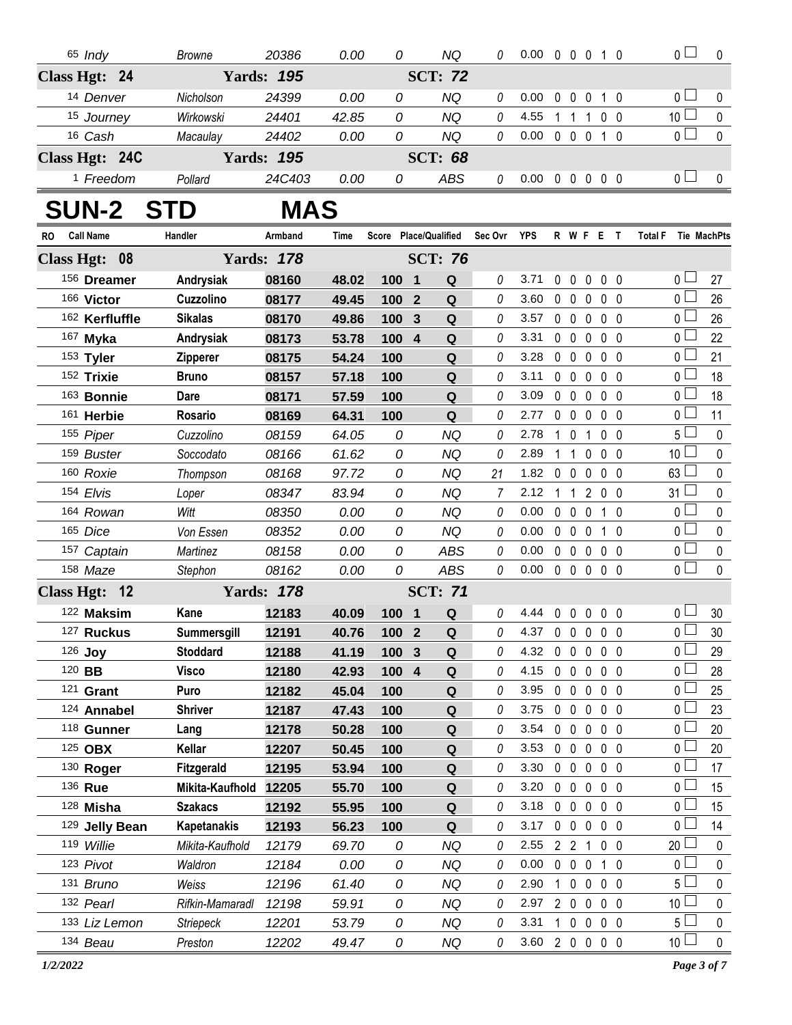|     | 65 Indy              | <b>Browne</b>      | 20386             | 0.00        | 0                     |                         | <b>NQ</b>      | 0       | $0.00 \t0 \t0 \t0 \t1 \t0$ |             |                |                   |                   |                | $\overline{0}$ $\Box$         | $\mathbf 0$ |
|-----|----------------------|--------------------|-------------------|-------------|-----------------------|-------------------------|----------------|---------|----------------------------|-------------|----------------|-------------------|-------------------|----------------|-------------------------------|-------------|
|     | Class Hgt: 24        |                    | <b>Yards: 195</b> |             |                       |                         | <b>SCT: 72</b> |         |                            |             |                |                   |                   |                |                               |             |
|     | 14 Denver            | Nicholson          | 24399             | 0.00        | 0                     |                         | <b>NQ</b>      | 0       | 0.00                       | 0           | $\mathbf 0$    | $\mathbf 0$       |                   | $1\quad0$      | 0 <sub>0</sub>                | 0           |
|     | 15 Journey           | Wirkowski          | 24401             | 42.85       | 0                     |                         | <b>NQ</b>      | 0       | 4.55                       |             | $1\quad1$      | $\mathbf{1}$      | $0\quad 0$        |                | 10 <sup>2</sup>               | 0           |
|     | 16 Cash              | Macaulay           | 24402             | 0.00        | 0                     |                         | <b>NQ</b>      | 0       | 0.00                       |             |                | 0 0 0 1 0         |                   |                | 0 <sub>l</sub>                | $\pmb{0}$   |
|     | Class Hgt: 24C       |                    | <b>Yards: 195</b> |             |                       |                         | <b>SCT: 68</b> |         |                            |             |                |                   |                   |                |                               |             |
|     | <sup>1</sup> Freedom | Pollard            | 24C403            | 0.00        | 0                     |                         | ABS            | 0       | $0.00 \t0 \t0 \t0 \t0 \t0$ |             |                |                   |                   |                | 0 <sub>1</sub>                | 0           |
|     | <b>SUN-2</b>         | <b>STD</b>         | <b>MAS</b>        |             |                       |                         |                |         |                            |             |                |                   |                   |                |                               |             |
| RO. | <b>Call Name</b>     | Handler            | Armband           | <b>Time</b> | Score Place/Qualified |                         |                | Sec Ovr | <b>YPS</b>                 |             |                | R W F E T         |                   |                | Tie MachPts<br><b>Total F</b> |             |
|     | Class Hgt: 08        |                    | <b>Yards: 178</b> |             |                       |                         | <b>SCT: 76</b> |         |                            |             |                |                   |                   |                |                               |             |
|     | 156 Dreamer          | Andrysiak          | 08160             | 48.02       | 100 1                 |                         | Q              | 0       | 3.71                       | 0           | $\mathbf 0$    |                   | $0\quad 0\quad 0$ |                | 0 <sub>0</sub>                | 27          |
|     | 166 Victor           | Cuzzolino          | 08177             | 49.45       | 100                   | $\overline{2}$          | Q              | 0       | 3.60                       |             |                | $0\quad 0\quad 0$ | $0\quad 0$        |                | 0 <sub>0</sub>                | 26          |
|     | 162 Kerfluffle       | <b>Sikalas</b>     | 08170             | 49.86       | 100                   | $\mathbf{3}$            | Q              | 0       | 3.57                       |             | $0\quad 0$     | $\mathbf 0$       | $0\quad 0$        |                | $0+$                          | 26          |
|     | 167 Myka             | Andrysiak          | 08173             | 53.78       | 100                   | $\overline{4}$          | $\mathbf Q$    | 0       | 3.31                       |             | $0\quad 0$     | $\mathbf 0$       | $0\quad 0$        |                | 0 <sub>0</sub>                | 22          |
|     | 153 Tyler            | <b>Zipperer</b>    | 08175             | 54.24       | 100                   |                         | Q              | 0       | 3.28                       |             | $0\quad 0$     | $\mathbf 0$       | 0 <sub>0</sub>    |                | 0 L                           | 21          |
|     | 152 Trixie           | <b>Bruno</b>       | 08157             | 57.18       | 100                   |                         | ${\bf Q}$      | 0       | 3.11                       |             | $0\quad 0$     | $\mathbf 0$       | 0 <sub>0</sub>    |                | 0 <sub>0</sub>                | 18          |
|     | 163 Bonnie           | Dare               | 08171             | 57.59       | 100                   |                         | Q              | 0       | 3.09                       |             | $0\quad 0$     | $\mathbf 0$       | $0\quad 0$        |                | 0 <sub>0</sub>                | 18          |
|     | 161 Herbie           | Rosario            | 08169             | 64.31       | 100                   |                         | $\mathbf Q$    | 0       | 2.77                       |             | $0\quad 0$     | $\mathbf 0$       | $0\quad 0$        |                | 0 <sup>L</sup>                | 11          |
|     | 155 Piper            | Cuzzolino          | 08159             | 64.05       | 0                     |                         | <b>NQ</b>      | 0       | 2.78                       |             | $1\quad0$      | $\mathbf{1}$      |                   | 0 <sub>0</sub> | 5 L                           | 0           |
|     | 159 Buster           | Soccodato          | 08166             | 61.62       | 0                     |                         | <b>NQ</b>      | 0       | 2.89                       | 1           | $\overline{1}$ | $\mathbf 0$       | 0 <sub>0</sub>    |                | 10 $\Box$                     | 0           |
|     | 160 Roxie            | Thompson           | 08168             | 97.72       | 0                     |                         | <b>NQ</b>      | 21      | 1.82                       |             | $0\quad 0$     | $\mathbf 0$       | $0\quad 0$        |                | $63 -$                        | 0           |
|     | 154 Elvis            | Loper              | 08347             | 83.94       | 0                     |                         | <b>NQ</b>      | 7       | 2.12                       | 1           | $\overline{1}$ |                   | 200               |                | $31 \Box$                     | 0           |
|     | 164 Rowan            | Witt               | 08350             | 0.00        | 0                     |                         | <b>NQ</b>      | 0       | 0.00                       |             | $0\quad 0$     | $\mathbf 0$       |                   | 1 <sub>0</sub> | 0 <sub>1</sub>                | 0           |
|     | 165 Dice             | Von Essen          | 08352             | 0.00        | 0                     |                         | <b>NQ</b>      | 0       | 0.00                       |             | $0\quad 0$     | $\mathbf 0$       |                   | $1\quad0$      | $0-$                          | 0           |
|     | 157 Captain          | Martinez           | 08158             | 0.00        | 0                     |                         | ABS            | 0       | 0.00                       |             |                | $0\quad 0\quad 0$ | $0\quad 0$        |                | 0 <sup>1</sup>                | 0           |
|     | 158 Maze             | Stephon            | 08162             | 0.00        | 0                     |                         | <b>ABS</b>     | 0       | 0.00                       |             | $0\quad 0$     | $\mathbf 0$       | $0\quad 0$        |                | 0 <sup>1</sup>                | 0           |
|     | Class Hgt: 12        |                    | <b>Yards: 178</b> |             |                       |                         | <b>SCT: 71</b> |         |                            |             |                |                   |                   |                |                               |             |
|     | 122 Maksim           | Kane               | 12183             | 40.09       | 100 1                 |                         | Q              | 0       | 4.44 0 0 0 0 0             |             |                |                   |                   |                | 0 <sub>1</sub>                | 30          |
|     | 127 Ruckus           | Summersgill        | 12191             | 40.76       | 100                   | $\overline{\mathbf{2}}$ | $\mathbf Q$    | 0       | 4.37                       | $\mathbf 0$ | $\mathbf 0$    | $\mathbf 0$       |                   | $0\quad 0$     | 0 L                           | 30          |
|     | 126 Joy              | <b>Stoddard</b>    | 12188             | 41.19       | 100                   | $\mathbf{3}$            | Q              | 0       | 4.32                       | $\mathbf 0$ | $\mathbf{0}$   | 0                 |                   | $0\quad 0$     | 0 <sub>l</sub>                | 29          |
|     | 120 BB               | <b>Visco</b>       | 12180             | 42.93       | 100 4                 |                         | Q              | 0       | 4.15                       |             | $0\quad 0$     | $\mathbf 0$       |                   | $0\quad 0$     | 0 <sub>0</sub>                | 28          |
|     | $121$ Grant          | Puro               | 12182             | 45.04       | 100                   |                         | Q              | 0       | 3.95                       |             | $0\quad 0$     | $\mathbf 0$       |                   | $0\quad 0$     | 0 L                           | 25          |
|     | 124 Annabel          | <b>Shriver</b>     | 12187             | 47.43       | 100                   |                         | Q              | 0       | 3.75                       |             | $0\quad 0$     | $\mathbf 0$       |                   | $0\quad 0$     | 0 L                           | 23          |
|     | 118 Gunner           | Lang               | 12178             | 50.28       | 100                   |                         | Q              | 0       | 3.54                       |             | $0\quad 0$     | $\mathbf 0$       |                   | 0 <sub>0</sub> | 0 <sub>l</sub>                | 20          |
|     | 125 OBX              | Kellar             | 12207             | 50.45       | 100                   |                         | Q              | 0       | 3.53                       |             | $0\quad 0$     | $\mathbf 0$       |                   | $0\quad 0$     | 0 <sub>l</sub>                | 20          |
|     | 130 Roger            | <b>Fitzgerald</b>  | 12195             | 53.94       | 100                   |                         | Q              | 0       | 3.30                       |             | $0\quad 0$     | $\mathbf 0$       |                   | 0 <sub>0</sub> | 0 L                           | 17          |
|     | 136 Rue              | Mikita-Kaufhold    | 12205             | 55.70       | 100                   |                         | Q              | 0       | 3.20                       |             | $0\quad 0$     | $\mathbf 0$       |                   | $0\quad 0$     | 0 <sub>0</sub>                | 15          |
|     | 128 Misha            | <b>Szakacs</b>     | 12192             | 55.95       | 100                   |                         | Q              | 0       | 3.18                       |             | $0\quad 0$     | $\mathbf 0$       |                   | $0\quad 0$     | $0^{\square}$                 | 15          |
|     | 129 Jelly Bean       | <b>Kapetanakis</b> | 12193             | 56.23       | 100                   |                         | Q              | 0       | 3.17                       |             | $0\quad 0$     | $\mathbf 0$       |                   | $0\quad 0$     | 0 <sub>0</sub>                | 14          |
|     | 119 Willie           | Mikita-Kaufhold    | 12179             | 69.70       | 0                     |                         | NQ             | 0       | 2.55                       |             | 2 <sub>2</sub> | $\mathbf{1}$      |                   | 0 <sub>0</sub> | 20 <sub>2</sub>               | 0           |
|     | 123 Pivot            | Waldron            | 12184             | 0.00        | 0                     |                         | <b>NQ</b>      | 0       | 0.00                       |             | $0\quad 0$     | $\mathbf 0$       |                   | $1\quad0$      | 0 <sub>l</sub>                | 0           |
|     | 131 Bruno            | Weiss              | 12196             | 61.40       | 0                     |                         | NQ             | 0       | 2.90                       |             | $1\quad0$      | $\mathbf 0$       | $0\quad 0$        |                | 5 <sub>1</sub>                | 0           |
|     | 132 Pearl            | Rifkin-Mamaradl    | 12198             | 59.91       | 0                     |                         | NQ             | 0       | 2.97                       |             | $2\quad 0$     | $\mathbf 0$       | $0\quad 0$        |                | 10 <sup>L</sup>               | 0           |
|     | 133 Liz Lemon        | <b>Striepeck</b>   | 12201             | 53.79       | 0                     |                         | NQ             | 0       | 3.31                       |             | $1\quad0$      | 0                 |                   | 0 <sub>0</sub> | 5 L                           | 0           |
|     | 134 Beau             | Preston            | 12202             | 49.47       | 0                     |                         | NQ             | 0       | 3.60                       |             |                | 200               | $0\quad 0$        |                | 10 <sup>L</sup>               | $\mathbf 0$ |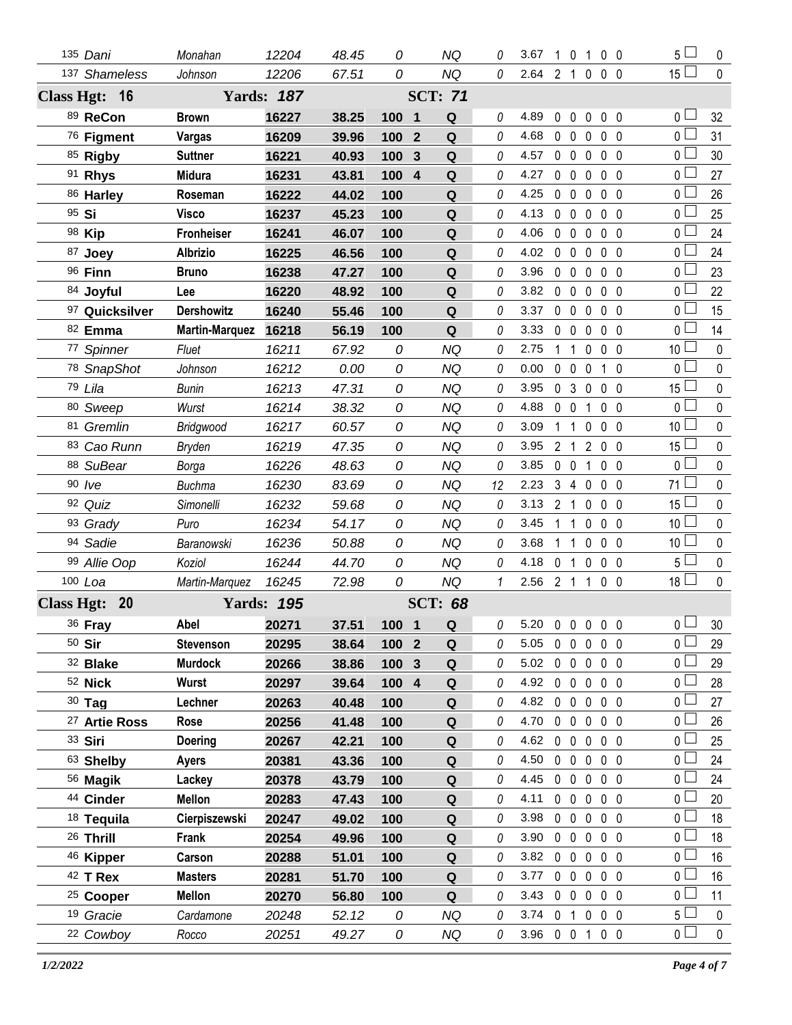|         | 135 Dani                 | Monahan               | 12204             | 48.45 | 0                |                | <b>NQ</b>      | 0            | 3.67           |                |                   |                | 10100             | 5 <sub>1</sub>  | 0           |
|---------|--------------------------|-----------------------|-------------------|-------|------------------|----------------|----------------|--------------|----------------|----------------|-------------------|----------------|-------------------|-----------------|-------------|
|         | 137 Shameless            | Johnson               | 12206             | 67.51 | 0                |                | <b>NQ</b>      | 0            | 2.64           | 2 <sub>1</sub> |                   |                | $0\quad 0\quad 0$ | 15 <sup>1</sup> | $\mathbf 0$ |
|         | Class Hgt: 16            |                       | <b>Yards: 187</b> |       |                  |                | <b>SCT: 71</b> |              |                |                |                   |                |                   |                 |             |
|         | 89 ReCon                 | <b>Brown</b>          | 16227             | 38.25 | 100 1            |                | Q              | 0            | 4.89           |                | $0\quad 0$        |                | $0\quad 0\quad 0$ | $0-$            | 32          |
|         | 76 Figment               | Vargas                | 16209             | 39.96 | 100              | $\overline{2}$ | $\mathbf Q$    | 0            | 4.68           |                | $0\quad 0$        |                | $0\quad 0\quad 0$ | 0 <sup>1</sup>  | 31          |
|         | 85 Rigby                 | <b>Suttner</b>        | 16221             | 40.93 | 100              | 3              | Q              | 0            | 4.57           | $0\quad 0$     |                   | $\mathbf 0$    | 0 <sub>0</sub>    | 0 L             | 30          |
|         | 91 Rhys                  | <b>Midura</b>         | 16231             | 43.81 | 100              | $\overline{4}$ | $\mathbf Q$    | 0            | 4.27           |                | $0\quad 0\quad 0$ |                | $0\quad 0$        | 0 <sup>2</sup>  | 27          |
|         | 86 Harley                | Roseman               | 16222             | 44.02 | 100              |                | Q              | 0            | 4.25           | $0\quad 0$     |                   | $\mathbf 0$    | $0\quad 0$        | 0 L             | 26          |
| 95 Si   |                          | Visco                 | 16237             | 45.23 | 100              |                | $\mathbf Q$    | 0            | 4.13           | $0\quad 0$     |                   | $\mathbf 0$    | $0\quad 0$        | 0 <sup>1</sup>  | 25          |
|         | 98 Kip                   | <b>Fronheiser</b>     | 16241             | 46.07 | 100              |                | Q              | 0            | 4.06           | $0\quad 0$     |                   | $\mathbf 0$    | $0\quad 0$        | 0 L             | 24          |
|         | 87 Joey                  | <b>Albrizio</b>       | 16225             | 46.56 | 100              |                | Q              | 0            | 4.02           |                | $0\quad 0\quad 0$ |                | $0\quad 0$        | 0 <sup>1</sup>  | 24          |
|         | 96 Finn                  | <b>Bruno</b>          | 16238             | 47.27 | 100              |                | Q              | 0            | 3.96           | $0\quad 0$     |                   | $\mathbf 0$    | 0 <sub>0</sub>    | 0 L             | 23          |
|         | 84 Joyful                | Lee                   | 16220             | 48.92 | 100              |                | $\mathbf Q$    | 0            | 3.82           | $0\quad 0$     |                   |                | $0\quad 0\quad 0$ | 0 <sup>1</sup>  | 22          |
|         | 97 Quicksilver           | <b>Dershowitz</b>     | 16240             | 55.46 | 100              |                | Q              | 0            | 3.37           | $0\quad 0$     |                   | $\mathbf 0$    | 0 <sub>0</sub>    | 0 l             | 15          |
|         | 82 Emma                  | <b>Martin-Marquez</b> | 16218             | 56.19 | 100              |                | Q              | 0            | 3.33           | $0\quad 0$     |                   | $\mathbf 0$    | 0 <sub>0</sub>    | 0 <sup>2</sup>  | 14          |
|         | 77 Spinner               | Fluet                 | 16211             | 67.92 | 0                |                | NQ             | 0            | 2.75           | $1\quad1$      |                   | 0              | $0\quad 0$        | 10 <sub>1</sub> | $\mathbf 0$ |
|         | 78 SnapShot              | Johnson               | 16212             | 0.00  | 0                |                | <b>NQ</b>      | 0            | 0.00           | $0\quad 0$     |                   | $\mathbf 0$    | 1 0               | 0 <sup>1</sup>  | $\pmb{0}$   |
|         | 79 Lila                  | <b>Bunin</b>          | 16213             | 47.31 | 0                |                | NQ             | 0            | 3.95           | 0 <sup>3</sup> |                   | 0              | $0\quad 0$        | 15 <sup>L</sup> | $\pmb{0}$   |
|         | 80 Sweep                 | Wurst                 | 16214             | 38.32 | 0                |                | <b>NQ</b>      | 0            | 4.88           | $0\quad 0$     |                   | $\overline{1}$ | 0 <sub>0</sub>    | 0 <sub>1</sub>  | $\mathbf 0$ |
|         | 81 Gremlin               | Bridgwood             | 16217             | 60.57 | 0                |                | NQ             | 0            | 3.09           | $1\quad1$      |                   | 0              | $0\quad 0$        | 10 <sup>L</sup> | $\mathbf 0$ |
|         | 83 Cao Runn              | <b>Bryden</b>         | 16219             | 47.35 | 0                |                | <b>NQ</b>      | 0            | 3.95           | 2 <sub>1</sub> |                   | $\overline{2}$ | $0\quad 0$        | 15 <sup>L</sup> | $\pmb{0}$   |
|         | 88 SuBear                | Borga                 | 16226             | 48.63 | 0                |                | NQ             | 0            | 3.85           | $0\quad 0$     |                   | 1              | 0 <sub>0</sub>    | 0 <sub>1</sub>  | $\mathbf 0$ |
|         | $90$ /ve                 | <b>Buchma</b>         | 16230             | 83.69 | 0                |                | <b>NQ</b>      | 12           | 2.23           |                | 3 4 0             |                | 0 <sub>0</sub>    | $71 \Box$       | $\pmb{0}$   |
|         | 92 Quiz                  | Simonelli             | 16232             | 59.68 | 0                |                | <b>NQ</b>      | 0            | 3.13           | 2 <sub>1</sub> |                   | 0              | $0\quad 0$        | $15\perp$       | $\pmb{0}$   |
|         | 93 Grady                 | Puro                  | 16234             | 54.17 | 0                |                | <b>NQ</b>      | 0            | 3.45           | $\mathbf{1}$   | $\overline{1}$    | 0              | $0\quad 0$        | 10 <sup>1</sup> | $\pmb{0}$   |
|         | 94 Sadie                 | Baranowski            | 16236             | 50.88 | 0                |                | <b>NQ</b>      | 0            | 3.68           | $1\quad1$      |                   | 0              | $0\quad 0$        | 10 <sup>1</sup> | $\pmb{0}$   |
|         | 99 Allie Oop             | Koziol                | 16244             | 44.70 | 0                |                | <b>NQ</b>      | 0            | 4.18           | 0 <sub>1</sub> |                   | $\mathbf 0$    | $0\quad 0$        | 5 <sub>1</sub>  | $\pmb{0}$   |
| 100 Loa |                          | Martin-Marquez        | 16245             | 72.98 | 0                |                | <b>NQ</b>      | 1            | $2.56$ 2 1     |                |                   | $\overline{1}$ | $0\quad 0$        | $18\perp$       | $\mathbf 0$ |
|         | Class Hgt: 20            |                       | <b>Yards: 195</b> |       |                  |                | <b>SCT: 68</b> |              |                |                |                   |                |                   |                 |             |
|         | 36 Fray                  | Abel                  | 20271             | 37.51 | 100 1 Q          |                |                | $\mathcal O$ | 5.20 0 0 0 0 0 |                |                   |                |                   | $\overline{0}$  | $30\,$      |
|         | $50$ Sir                 | <b>Stevenson</b>      | 20295             | 38.64 | 100              | $\mathbf{2}$   | Q              | 0            | 5.05           | $0\quad 0$     |                   | 0              | $0\quad 0$        | 0 l             | 29          |
|         | 32 Blake                 | <b>Murdock</b>        | 20266             | 38.86 | 100 <sub>3</sub> |                | $\mathbf Q$    | 0            | $5.02$ 0 0 0   |                |                   |                | 0 <sub>0</sub>    | 0 L             | 29          |
|         | 52 Nick                  | Wurst                 | 20297             | 39.64 | 100 4            |                | Q              | 0            | 4.92           | $0\quad 0$     |                   | 0              | $0\quad 0$        | 0 l             | 28          |
|         | $30$ Tag                 | Lechner               | 20263             | 40.48 | 100              |                | Q              | 0            | 4.82           |                | $0\quad 0\quad 0$ |                | $0\quad 0$        | 0 L             | 27          |
|         | <sup>27</sup> Artie Ross | Rose                  | 20256             | 41.48 | 100              |                | Q              | 0            | 4.70           | $0\quad 0$     |                   | $\mathbf 0$    | $0\quad 0$        | 0 l             | 26          |
|         | 33 Siri                  | <b>Doering</b>        | 20267             | 42.21 | 100              |                | Q              | 0            | 4.62           |                | $0\quad 0\quad 0$ |                | 0 <sub>0</sub>    | 0 L             | 25          |
|         | 63 Shelby                | <b>Ayers</b>          | 20381             | 43.36 | 100              |                | Q              | 0            | 4.50           | $0\quad 0$     |                   | 0              | 0 <sub>0</sub>    | 0 l             | 24          |
|         | 56 Magik                 | Lackey                | 20378             | 43.79 | 100              |                | Q              | 0            | 4.45           | $0\quad 0$     |                   | $\mathbf 0$    | $0\quad 0$        | 0 L             | 24          |
|         | 44 Cinder                | <b>Mellon</b>         | 20283             | 47.43 | 100              |                | Q              | 0            | 4.11           |                | $0\quad 0$        | $\mathbf 0$    | 0 <sub>0</sub>    | 0 L             | 20          |
|         | <sup>18</sup> Tequila    | Cierpiszewski         | 20247             | 49.02 | 100              |                | Q              | 0            | 3.98           |                | $0\quad 0\quad 0$ |                | 0 <sub>0</sub>    | 0 <sub>0</sub>  | 18          |
|         | 26 Thrill                | Frank                 | 20254             | 49.96 | 100              |                | Q              | 0            | 3.90           | $0\quad 0$     |                   | 0              | 0 <sub>0</sub>    | 0 <sub>1</sub>  | 18          |
|         | 46 Kipper                | Carson                | 20288             | 51.01 | 100              |                | Q              | 0            | 3.82           | $0\quad 0$     |                   | $\mathbf 0$    | $0\quad 0$        | $0-$            | 16          |
|         | 42 T Rex                 | <b>Masters</b>        | 20281             | 51.70 | 100              |                | Q              | 0            | 3.77           | $0\quad 0$     |                   | 0              | 0 <sub>0</sub>    | 0 l             | 16          |
|         | <sup>25</sup> Cooper     | <b>Mellon</b>         | 20270             | 56.80 | 100              |                | Q              | 0            | 3.43           |                | $0\quad 0\quad 0$ |                | 0 <sub>0</sub>    | 0 l             | 11          |
|         | <sup>19</sup> Gracie     | Cardamone             | 20248             | 52.12 | 0                |                | NQ             | 0            | 3.74           | 0 <sub>1</sub> |                   |                | $0\quad 0\quad 0$ | 5 l             | 0           |
|         | 22 Cowboy                | Rocco                 | 20251             | 49.27 | 0                |                | NQ             | 0            | 3.96 0 0 1     |                |                   |                | $0\quad 0$        | 0 <sub>1</sub>  | $\mathbf 0$ |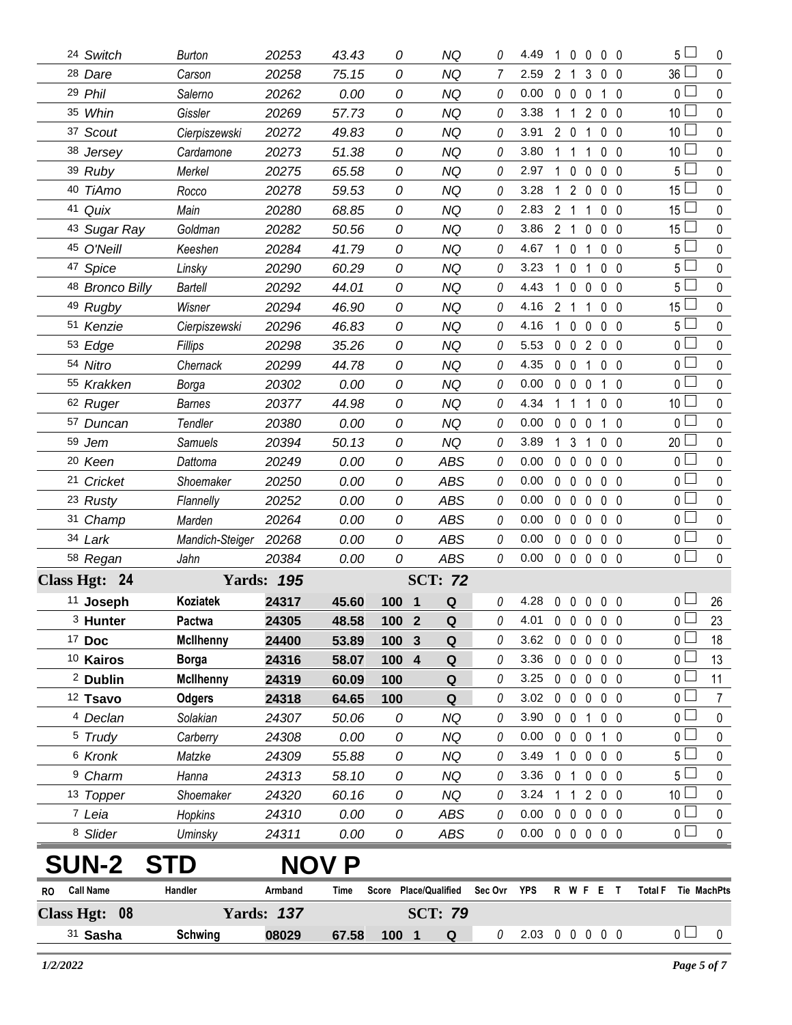|                   | 31 Sasha             | <b>Schwing</b>    | 08029             | 67.58          | 100 1                 | Q                      | 0       | 2.03 0 0 0 0 0 |                |                     |                   |                              |              | 0 <sub>1</sub>                   | $\mathbf 0$ |
|-------------------|----------------------|-------------------|-------------------|----------------|-----------------------|------------------------|---------|----------------|----------------|---------------------|-------------------|------------------------------|--------------|----------------------------------|-------------|
| <b>Class Hgt:</b> | 08                   | <b>Yards: 137</b> |                   |                | <b>SCT: 79</b>        |                        |         |                |                |                     |                   |                              |              |                                  |             |
| RO.               | <b>Call Name</b>     | Handler           | Armband           | Time           | Score Place/Qualified |                        | Sec Ovr | YPS            |                |                     | R W F E T         |                              |              | <b>Total F</b>                   | Tie MachPts |
|                   | <b>SUN-2</b>         |                   |                   | <b>NOV P</b>   |                       |                        |         |                |                |                     |                   |                              |              |                                  |             |
|                   | 8 Slider             | Uminsky           | 24311             | 0.00           | 0                     | ABS                    | 0       | 0.00           |                |                     | 00000             |                              |              |                                  | 0           |
|                   | 7 Leia               | <b>Hopkins</b>    | 24310             | 0.00           | 0                     | ABS                    | 0       | 0.00           |                | $0\quad 0$          | $\mathbf 0$       | $0\quad 0$                   |              | 0 <sub>1</sub><br>0 <sub>1</sub> | 0           |
|                   | 13 Topper            | Shoemaker         | 24320             | 60.16          | 0                     | NQ                     | 0       | 3.24           | $\mathbf 1$    | 1                   |                   | 200                          |              | 10 <sup>2</sup>                  | 0           |
|                   | <sup>9</sup> Charm   | Hanna             | 24313             | 58.10          | 0                     | <b>NQ</b>              | 0       | 3.36           |                | 0 <sub>1</sub>      | $\mathbf 0$       | $0\quad 0$                   |              | 5 L                              | 0           |
|                   | 6 Kronk              | Matzke            | 24309             | 55.88          | 0                     | <b>NQ</b>              | 0       | 3.49           | $\mathbf{1}$   | $\mathbf 0$         | $\mathbf 0$       | 0 <sub>0</sub>               |              | 5 <sub>1</sub>                   | 0           |
|                   | <sup>5</sup> Trudy   | Carberry          | 24308             | 0.00           | 0                     | <b>NQ</b>              | 0       | 0.00           |                | $0\quad 0$          | $\mathbf 0$       | 1 0                          |              | 0 <sub>0</sub>                   | 0           |
|                   | <sup>4</sup> Declan  | Solakian          | 24307             | 50.06          | 0                     | <b>NQ</b>              | 0       | 3.90           |                | $0\quad 0$          | $\mathbf{1}$      | $0\quad 0$                   |              | $\overline{0}$                   | $\pmb{0}$   |
|                   | <sup>12</sup> Tsavo  | <b>Odgers</b>     | 24318             | 64.65          | 100                   | Q                      | 0       | 3.02           |                | $0\quad 0$          | $\mathbf 0$       | $0\quad 0$                   |              | $0-$                             | 7           |
|                   | <sup>2</sup> Dublin  | <b>McIlhenny</b>  | 24319             | 60.09          | 100                   | Q                      | 0       | 3.25           |                | $0\quad 0$          | $\mathbf 0$       | $0\quad 0$                   |              | 0 <sub>0</sub>                   | 11          |
|                   | <sup>10</sup> Kairos | <b>Borga</b>      | 24316             | 58.07          | 100 4                 | $\mathbf Q$            | 0       | 3.36           |                | $0\quad 0$          | 0                 | $0\quad 0$                   |              | 0 <sub>0</sub>                   | 13          |
|                   | $17$ Doc             | <b>McIlhenny</b>  | 24400             | 53.89          | 100 3                 | Q                      | 0       | 3.62           |                | $0\quad 0$          | $0\quad 0\quad 0$ |                              |              | 0 <sub>1</sub>                   | 18          |
|                   | <sup>3</sup> Hunter  | Pactwa            | 24305             | 48.58          | 100 2                 | Q                      | 0       | 4.01 0 0 0 0 0 |                |                     |                   |                              |              | 0 <sup>1</sup>                   | 23          |
|                   | 11 Joseph            | <b>Koziatek</b>   | 24317             | 45.60          | 100<br>-1             | Q                      | 0       | 4.28           |                | $0\quad 0$          | $\mathbf 0$       | 0 <sub>0</sub>               |              | $0-$                             | 26          |
|                   | Class Hgt: 24        |                   | <b>Yards: 195</b> |                |                       | <b>SCT: 72</b>         |         |                |                |                     |                   |                              |              |                                  |             |
|                   | 58 Regan             | Jahn              | 20384             | 0.00           | 0                     | <b>ABS</b>             | 0       | 0.00           |                | $0\quad 0$          | $\mathbf 0$       | 0 <sub>0</sub>               |              | 0 <sub>0</sub>                   | $\mathbf 0$ |
|                   | 34 Lark              | Mandich-Steiger   | 20268             | 0.00           | 0                     | <b>ABS</b>             | 0       | 0.00           |                | $0\quad 0$          | 0                 | 0 <sub>0</sub>               |              | $\overline{0}$                   | $\pmb{0}$   |
|                   | 31 Champ             | Marden            | 20264             | 0.00           | 0                     | <b>ABS</b>             | 0       | 0.00           |                | 0 <sub>0</sub>      | $\mathbf{0}$      | 0 <sub>0</sub>               |              | $\overline{0}$                   | $\mathbf 0$ |
|                   | 23 Rusty             | Flannelly         | 20252             | 0.00           | 0                     | <b>ABS</b>             | 0       | 0.00           |                | $0\quad 0$          | 0                 | 0 <sub>0</sub>               |              | $\overline{0}$                   | 0           |
|                   | 21 Cricket           | Shoemaker         | 20250             | 0.00           | 0                     | <b>ABS</b>             | 0       | 0.00           |                | $0\quad 0$          | $\pmb{0}$         | 0 <sub>0</sub>               |              | 0 <sub>1</sub>                   | 0           |
|                   | <sup>20</sup> Keen   | Dattoma           | 20249             | 0.00           | 0                     | <b>ABS</b>             | 0       | 0.00           |                | $0\quad 0$          | $\pmb{0}$         | 0 <sub>0</sub>               |              | $\overline{0}$                   | $\pmb{0}$   |
|                   | 59 Jem               | <b>Samuels</b>    | 20394             | 50.13          | 0                     | <b>NQ</b>              | 0       | 3.89           |                | 1 <sup>3</sup>      | $\mathbf 1$       | 0 <sub>0</sub>               |              | 20                               | 0           |
|                   | 57 Duncan            | Tendler           | 20380             | 0.00           | 0                     | <b>NQ</b>              | 0       | 0.00           | 0              | $\mathbf 0$         | $\mathbf{0}$      | 1                            | $\Omega$     | 0 <sub>1</sub>                   | 0           |
|                   | 62 Ruger             | <b>Barnes</b>     | 20377             | 44.98          | 0                     | <b>NQ</b>              | 0       | 4.34           |                | $1\quad1$           | 1                 | 0 <sub>0</sub>               |              | 10 <sup>L</sup>                  | 0           |
|                   | 55 Krakken           | Borga             | 20302             | 0.00           | 0                     | <b>NQ</b>              | 0       | 0.00           | $\mathbf 0$    | $\mathbf 0$         | 0                 | $\mathbf{1}$                 | 0            | 0 <sup>1</sup>                   | 0           |
|                   | 54 Nitro             | Chernack          | 20299             | 44.78          | 0                     | <b>NQ</b>              | 0       | 4.35           |                | $0\quad 0$          | 1                 | 0 <sub>0</sub>               |              | 0 <sup>1</sup>                   | 0           |
|                   | 53 Edge              | Fillips           | 20298             | 35.26          | 0                     | <b>NQ</b>              | 0       | 5.53           | $\mathbf 0$    | $\overline{0}$      | $\overline{2}$    | 0 <sub>0</sub>               |              | 0 <sup>1</sup>                   | 0           |
|                   | 51 Kenzie            | Cierpiszewski     | 20296             | 46.83          | 0                     | <b>NQ</b>              | 0       | 4.16           | $\mathbf{1}$   | $\mathbf 0$         | $\mathbf{0}$      | 0 <sub>0</sub>               |              | 5 <sub>1</sub>                   | 0           |
|                   | 49 Rugby             | Wisner            | 20294             | 46.90          | 0                     | <b>NQ</b>              | 0       | 4.16           | $\overline{c}$ | $\overline{1}$      | 1                 | 0 <sub>0</sub>               |              | 15 <sub>1</sub>                  | 0           |
|                   | 48 Bronco Billy      | <b>Bartell</b>    | 20292             | 44.01          | 0                     | <b>NQ</b>              | 0       | 4.43           | 1              | $\mathbf{0}$        | $\mathbf{0}$      | 0 <sub>0</sub>               |              | 5 <sub>1</sub>                   | 0           |
|                   | 47 Spice             | Linsky            | 20290             | 60.29          | 0                     | <b>NQ</b>              | 0       | 3.23           |                | $\mathbf 0$         | 1                 | 0 <sub>0</sub>               |              | 5 <sub>1</sub>                   | 0           |
|                   | 45 O'Neill           | Keeshen           | 20284             | 41.79          | 0                     | <b>NQ</b>              | 0       | 4.67           | 1              | $\mathbf 0$         | 1                 | 0 <sub>0</sub>               |              | 5                                | 0           |
|                   | 43 Sugar Ray         | Goldman           | 20282             | 50.56          | 0                     | <b>NQ</b>              | 0       | 3.86           | $\overline{2}$ | $\mathbf{1}$        | 0                 | 0 <sub>0</sub>               |              | 15                               | 0           |
|                   | 41 Quix              | Main              | 20280             | 68.85          | 0                     | <b>NQ</b>              | 0       | 2.83           | 2              | 1                   |                   | 0 <sub>0</sub>               |              | 15                               | 0           |
|                   | 39 Ruby<br>40 TiAmo  | Merkel<br>Rocco   | 20275<br>20278    | 65.58<br>59.53 | 0<br>0                | <b>NQ</b>              | 0       | 3.28           | 1              | 0<br>$\overline{2}$ | $\mathbf{0}$<br>0 | 0 <sub>0</sub>               |              | $15 \Box$                        | 0           |
|                   | 38 Jersey            | Cardamone         | 20273             | 51.38          | 0                     | <b>NQ</b><br><b>NQ</b> | 0<br>0  | 3.80<br>2.97   | 1<br>1         | 1                   | 1                 | $0\quad 0$<br>0 <sub>0</sub> |              | 10 <sup>1</sup><br>$5\perp$      | 0<br>0      |
|                   | 37 Scout             | Cierpiszewski     | 20272             | 49.83          | 0                     | <b>NQ</b>              | 0       | 3.91           |                | 2 <sub>0</sub>      | 1                 | 0 <sub>0</sub>               |              | 10 <sup>2</sup>                  | 0           |
|                   | 35 Whin              | Gissler           | 20269             | 57.73          | 0                     | <b>NQ</b>              | 0       | 3.38           | 1              | $\overline{1}$      | $\overline{2}$    | 0 <sub>0</sub>               |              | 10 <sup>1</sup>                  | 0           |
|                   | 29 Phil              | Salerno           | 20262             | 0.00           | 0                     | <b>NQ</b>              | 0       | 0.00           |                | 0 <sub>0</sub>      | $\mathbf{0}$      | 1                            | $\mathbf{0}$ | 0 <sub>0</sub>                   | $\mathbf 0$ |
|                   | 28 Dare              | Carson            | 20258             | 75.15          | 0                     | <b>NQ</b>              |         | 2.59           | $\overline{2}$ | 1                   | 3                 | $0\quad 0$                   |              | 36                               | 0           |
|                   | 24 Switch            | <b>Burton</b>     | 20253             | 43.43          | 0                     | ΝQ                     | 0       | 4.49           | 1              | 0                   | $\mathbf{0}$      | 0 <sub>0</sub>               |              | $5\Box$                          | 0           |
|                   |                      |                   |                   |                |                       |                        |         |                |                |                     |                   |                              |              |                                  |             |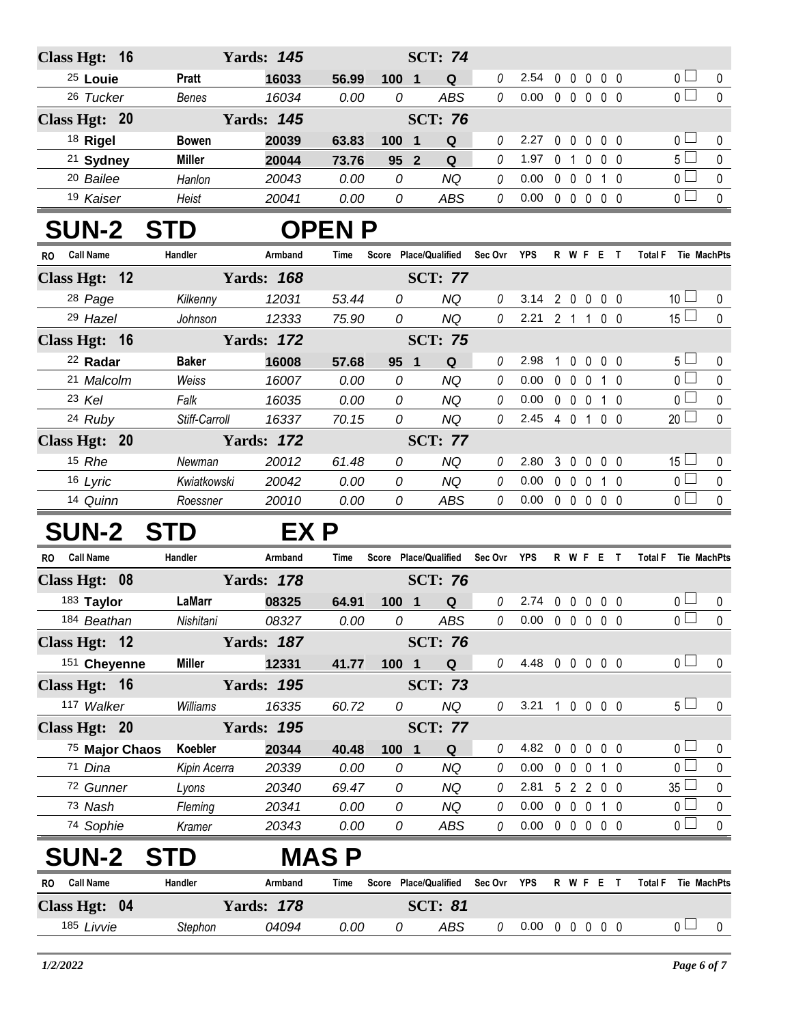| <b>SCT: 74</b><br>Class Hgt: 16<br><b>Yards: 145</b><br>$\overline{0}$<br>$0\quad 0$<br><sup>25</sup> Louie<br>0<br>2.54<br>$\mathbf 0$<br>0 <sub>0</sub><br>$\mathbf 0$<br><b>Pratt</b><br>16033<br>56.99<br>100 1<br>Q<br>$\overline{0}$<br>$\mathbf 0$<br><b>ABS</b><br>0.00<br>26 Tucker<br>16034<br>0.00<br>0<br>00000<br>Benes<br>0<br><b>SCT: 76</b><br><b>Yards: 145</b><br>Class Hgt: 20<br>0 <sub>l</sub><br>18 Rigel<br>0<br>$0\quad 0$<br>$\mathbf 0$<br>$0\quad 0$<br>$\mathbf 0$<br>20039<br>Q<br>2.27<br><b>Bowen</b><br>63.83<br>100 1<br>$5\Box$<br>0<br><sup>21</sup> Sydney<br><b>Miller</b><br>1.97<br>0 1 0 0 0<br>20044<br>0<br>73.76<br>95 2<br>Q<br>$\overline{0}$<br><sup>20</sup> Bailee<br>$\theta$<br>0.00<br>$0\quad 0\quad 0$<br>Hanlon<br>20043<br>0.00<br>0<br><b>NQ</b><br>$\mathbf 0$<br>1 0<br>$\overline{0}$<br>0.00<br>0 0 0 0 0<br>$\pmb{0}$<br>19 Kaiser<br>0.00<br>0<br>ABS<br>0<br>Heist<br>20041<br><b>SUN-2 STD</b><br><b>OPENP</b><br>Handler<br>Score Place/Qualified Sec Ovr YPS<br>R W F E T<br><b>Call Name</b><br>Armband<br>Total F Tie MachPts<br>Time<br>RO.<br><b>Yards: 168</b><br>Class Hgt: 12<br><b>SCT: 77</b><br>10 <sup>1</sup><br>28 Page<br>53.44<br><b>NQ</b><br>3.14<br>2 0 0 0 0<br>Kilkenny<br>12031<br>0<br>0<br>0<br>15 <sup>1</sup><br>29 Hazel<br>12333<br><b>NQ</b><br>$\mathcal O$<br>2.21 2 1 1 0 0<br>$\mathbf 0$<br>75.90<br>0<br>Johnson<br>Class Hgt: 16<br><b>Yards: 172</b><br><b>SCT: 75</b><br>5 <sub>1</sub><br><sup>22</sup> Radar<br>2.98<br>$\mathbf 0$<br>16008<br>0<br>$\mathbf{1}$<br>$0\quad 0\quad 0$<br>0<br><b>Baker</b><br>57.68<br>95 1<br>Q<br>$\overline{0}$<br>21 Malcolm<br>0.00<br>$0\quad 0$<br>Weiss<br>16007<br>0.00<br>0<br><b>NQ</b><br>0<br>$\mathbf 0$<br>$1\quad0$<br>$\mathbf 0$<br>$\overline{0}$<br>$\pmb{0}$<br>23 Kel<br>0.00<br>0<br><b>NQ</b><br>0<br>0.00<br>$0\quad 0\quad 0$<br>Falk<br>16035<br>1 0<br>$20$ $\Box$<br>24 Ruby<br>2.45 4 0 1 0 0<br>$\Omega$<br>Stiff-Carroll<br>16337<br>70.15<br>0<br><b>NQ</b><br>$\Omega$<br>Class Hgt: 20<br><b>Yards: 172</b><br><b>SCT: 77</b><br>$15 \Box$<br>15 Rhe<br>20012<br><b>NQ</b><br>2.80<br>3 <sub>0</sub><br>Newman<br>61.48<br>0<br>0<br>$\mathbf 0$<br>$0\quad 0$<br>0<br>$\overline{0}$<br>16 Lyric<br>0<br>0.00<br>$0\quad 0$<br>$\mathbf 0$<br>Kwiatkowski<br>20042<br>0.00<br>0<br><b>NQ</b><br>$\mathbf 0$<br>$1\quad0$<br>$\overline{0}$<br>$\mathbf 0$<br>14 Quinn<br>0<br>$0.00 \t0 \t0 \t0 \t0 \t0$<br>20010<br>0.00<br>ABS<br>0<br>Roessner<br><b>SUN-2 STD</b><br>EX P<br><b>Call Name</b><br>Handler<br>Score Place/Qualified<br>Sec Ovr YPS<br>R W F E T<br>Total F Tie MachPts<br>Armband<br>Time<br>RO.<br><b>Yards: 178</b><br>Class Hgt: 08<br><b>SCT: 76</b><br>0 <sub>0</sub><br>183 Taylor<br>LaMarr<br>$\theta$<br>2.74<br>08325<br>Q<br>$0\quad 0$<br>$0\quad 0\quad 0$<br>64.91<br>100 1<br>0<br>$\overline{0}$<br>ABS<br>$\mathbf 0$<br>Nishitani 08327<br>0.00<br>$0$ 0.00 0 0 0 0 0<br>184 Beathan<br>$\overline{\mathcal{O}}$<br><b>Yards: 187</b><br><b>SCT: 76</b><br>Class Hgt: 12<br>0 <sub>0</sub><br>151 Cheyenne<br>4.48 0 0 0 0 0<br><b>Miller</b><br>12331<br>0<br>0<br>41.77<br>100 1<br>Q<br>Class Hgt: 16<br><b>Yards: 195</b><br><b>SCT: 73</b><br>5 <sub>1</sub><br>117 Walker<br><b>NQ</b><br>16335<br>0<br>3.21 1 0 0 0 0<br>$\mathbf 0$<br>Williams<br>60.72<br>0<br>Class Hgt: 20<br><b>Yards: 195</b><br><b>SCT: 77</b><br>0 <sub>1</sub><br>75 Major Chaos<br>Koebler<br>4.82<br>20344<br>$\mathbf 0$<br>$\mathbf 0$<br>$0\quad 0\quad 0$<br>40.48<br>100 1<br>Q<br>0<br>0<br>0 <sub>1</sub><br>$0\quad 0$<br>71 Dina<br>Kipin Acerra<br>20339<br>0.00<br>0<br><b>NQ</b><br>0.00<br>$\mathbf 0$<br>$1\quad0$<br>0<br>0<br>$35\square$<br>$\pmb{0}$<br>72 Gunner<br>0<br><b>NQ</b><br>2.81<br>5 2 2 0 0<br>20340<br>69.47<br>0<br>Lyons<br>0 <sub>1</sub><br>73 Nash<br>$0\quad 0\quad 0$<br>20341<br>0.00<br><b>NQ</b><br>0.00<br>$1\quad0$<br>0<br>Fleming<br>0<br>0<br>0 <sup>2</sup><br>$0.00 \t0 \t0 \t0 \t0 \t0$<br>74 Sophie<br>20343<br>0<br>$\mathbf 0$<br>Kramer<br>0.00<br>0<br>ABS<br><b>SUN-2</b><br><b>MAS P</b><br>ГD<br>S.<br><b>Call Name</b><br>Handler<br>Score Place/Qualified<br>Sec Ovr YPS<br>Armband<br>R W F E T<br>Total F Tie MachPts<br>Time<br>RO.<br><b>Yards: 178</b><br>Class Hgt: 04<br><b>SCT: 81</b><br>0 <sub>0</sub><br>185 Livvie<br>ABS<br>$0.00 \t0 \t0 \t0 \t0 \t0$<br>04094<br>0.00<br>0<br>Stephon<br>0<br>0 |  |  |  |  |  |  |  |  |
|---------------------------------------------------------------------------------------------------------------------------------------------------------------------------------------------------------------------------------------------------------------------------------------------------------------------------------------------------------------------------------------------------------------------------------------------------------------------------------------------------------------------------------------------------------------------------------------------------------------------------------------------------------------------------------------------------------------------------------------------------------------------------------------------------------------------------------------------------------------------------------------------------------------------------------------------------------------------------------------------------------------------------------------------------------------------------------------------------------------------------------------------------------------------------------------------------------------------------------------------------------------------------------------------------------------------------------------------------------------------------------------------------------------------------------------------------------------------------------------------------------------------------------------------------------------------------------------------------------------------------------------------------------------------------------------------------------------------------------------------------------------------------------------------------------------------------------------------------------------------------------------------------------------------------------------------------------------------------------------------------------------------------------------------------------------------------------------------------------------------------------------------------------------------------------------------------------------------------------------------------------------------------------------------------------------------------------------------------------------------------------------------------------------------------------------------------------------------------------------------------------------------------------------------------------------------------------------------------------------------------------------------------------------------------------------------------------------------------------------------------------------------------------------------------------------------------------------------------------------------------------------------------------------------------------------------------------------------------------------------------------------------------------------------------------------------------------------------------------------------------------------------------------------------------------------------------------------------------------------------------------------------------------------------------------------------------------------------------------------------------------------------------------------------------------------------------------------------------------------------------------------------------------------------------------------------------------------------------------------------------------------------------------------------------------------------------------------------------------------------------------------------------------------------------------------------------------------------------------------------------------------------------------------------------------------------------------------------------------------------------------------------------------------------------------------------------------------------------------------------------------------------------------------------------------------------------------------------------------------------------------------------------------------------------------------------------------------------------------------------------------------------------------------------------------------------------------------------------------|--|--|--|--|--|--|--|--|
|                                                                                                                                                                                                                                                                                                                                                                                                                                                                                                                                                                                                                                                                                                                                                                                                                                                                                                                                                                                                                                                                                                                                                                                                                                                                                                                                                                                                                                                                                                                                                                                                                                                                                                                                                                                                                                                                                                                                                                                                                                                                                                                                                                                                                                                                                                                                                                                                                                                                                                                                                                                                                                                                                                                                                                                                                                                                                                                                                                                                                                                                                                                                                                                                                                                                                                                                                                                                                                                                                                                                                                                                                                                                                                                                                                                                                                                                                                                                                                                                                                                                                                                                                                                                                                                                                                                                                                                                                                                                                 |  |  |  |  |  |  |  |  |
|                                                                                                                                                                                                                                                                                                                                                                                                                                                                                                                                                                                                                                                                                                                                                                                                                                                                                                                                                                                                                                                                                                                                                                                                                                                                                                                                                                                                                                                                                                                                                                                                                                                                                                                                                                                                                                                                                                                                                                                                                                                                                                                                                                                                                                                                                                                                                                                                                                                                                                                                                                                                                                                                                                                                                                                                                                                                                                                                                                                                                                                                                                                                                                                                                                                                                                                                                                                                                                                                                                                                                                                                                                                                                                                                                                                                                                                                                                                                                                                                                                                                                                                                                                                                                                                                                                                                                                                                                                                                                 |  |  |  |  |  |  |  |  |
|                                                                                                                                                                                                                                                                                                                                                                                                                                                                                                                                                                                                                                                                                                                                                                                                                                                                                                                                                                                                                                                                                                                                                                                                                                                                                                                                                                                                                                                                                                                                                                                                                                                                                                                                                                                                                                                                                                                                                                                                                                                                                                                                                                                                                                                                                                                                                                                                                                                                                                                                                                                                                                                                                                                                                                                                                                                                                                                                                                                                                                                                                                                                                                                                                                                                                                                                                                                                                                                                                                                                                                                                                                                                                                                                                                                                                                                                                                                                                                                                                                                                                                                                                                                                                                                                                                                                                                                                                                                                                 |  |  |  |  |  |  |  |  |
|                                                                                                                                                                                                                                                                                                                                                                                                                                                                                                                                                                                                                                                                                                                                                                                                                                                                                                                                                                                                                                                                                                                                                                                                                                                                                                                                                                                                                                                                                                                                                                                                                                                                                                                                                                                                                                                                                                                                                                                                                                                                                                                                                                                                                                                                                                                                                                                                                                                                                                                                                                                                                                                                                                                                                                                                                                                                                                                                                                                                                                                                                                                                                                                                                                                                                                                                                                                                                                                                                                                                                                                                                                                                                                                                                                                                                                                                                                                                                                                                                                                                                                                                                                                                                                                                                                                                                                                                                                                                                 |  |  |  |  |  |  |  |  |
|                                                                                                                                                                                                                                                                                                                                                                                                                                                                                                                                                                                                                                                                                                                                                                                                                                                                                                                                                                                                                                                                                                                                                                                                                                                                                                                                                                                                                                                                                                                                                                                                                                                                                                                                                                                                                                                                                                                                                                                                                                                                                                                                                                                                                                                                                                                                                                                                                                                                                                                                                                                                                                                                                                                                                                                                                                                                                                                                                                                                                                                                                                                                                                                                                                                                                                                                                                                                                                                                                                                                                                                                                                                                                                                                                                                                                                                                                                                                                                                                                                                                                                                                                                                                                                                                                                                                                                                                                                                                                 |  |  |  |  |  |  |  |  |
|                                                                                                                                                                                                                                                                                                                                                                                                                                                                                                                                                                                                                                                                                                                                                                                                                                                                                                                                                                                                                                                                                                                                                                                                                                                                                                                                                                                                                                                                                                                                                                                                                                                                                                                                                                                                                                                                                                                                                                                                                                                                                                                                                                                                                                                                                                                                                                                                                                                                                                                                                                                                                                                                                                                                                                                                                                                                                                                                                                                                                                                                                                                                                                                                                                                                                                                                                                                                                                                                                                                                                                                                                                                                                                                                                                                                                                                                                                                                                                                                                                                                                                                                                                                                                                                                                                                                                                                                                                                                                 |  |  |  |  |  |  |  |  |
|                                                                                                                                                                                                                                                                                                                                                                                                                                                                                                                                                                                                                                                                                                                                                                                                                                                                                                                                                                                                                                                                                                                                                                                                                                                                                                                                                                                                                                                                                                                                                                                                                                                                                                                                                                                                                                                                                                                                                                                                                                                                                                                                                                                                                                                                                                                                                                                                                                                                                                                                                                                                                                                                                                                                                                                                                                                                                                                                                                                                                                                                                                                                                                                                                                                                                                                                                                                                                                                                                                                                                                                                                                                                                                                                                                                                                                                                                                                                                                                                                                                                                                                                                                                                                                                                                                                                                                                                                                                                                 |  |  |  |  |  |  |  |  |
|                                                                                                                                                                                                                                                                                                                                                                                                                                                                                                                                                                                                                                                                                                                                                                                                                                                                                                                                                                                                                                                                                                                                                                                                                                                                                                                                                                                                                                                                                                                                                                                                                                                                                                                                                                                                                                                                                                                                                                                                                                                                                                                                                                                                                                                                                                                                                                                                                                                                                                                                                                                                                                                                                                                                                                                                                                                                                                                                                                                                                                                                                                                                                                                                                                                                                                                                                                                                                                                                                                                                                                                                                                                                                                                                                                                                                                                                                                                                                                                                                                                                                                                                                                                                                                                                                                                                                                                                                                                                                 |  |  |  |  |  |  |  |  |
|                                                                                                                                                                                                                                                                                                                                                                                                                                                                                                                                                                                                                                                                                                                                                                                                                                                                                                                                                                                                                                                                                                                                                                                                                                                                                                                                                                                                                                                                                                                                                                                                                                                                                                                                                                                                                                                                                                                                                                                                                                                                                                                                                                                                                                                                                                                                                                                                                                                                                                                                                                                                                                                                                                                                                                                                                                                                                                                                                                                                                                                                                                                                                                                                                                                                                                                                                                                                                                                                                                                                                                                                                                                                                                                                                                                                                                                                                                                                                                                                                                                                                                                                                                                                                                                                                                                                                                                                                                                                                 |  |  |  |  |  |  |  |  |
|                                                                                                                                                                                                                                                                                                                                                                                                                                                                                                                                                                                                                                                                                                                                                                                                                                                                                                                                                                                                                                                                                                                                                                                                                                                                                                                                                                                                                                                                                                                                                                                                                                                                                                                                                                                                                                                                                                                                                                                                                                                                                                                                                                                                                                                                                                                                                                                                                                                                                                                                                                                                                                                                                                                                                                                                                                                                                                                                                                                                                                                                                                                                                                                                                                                                                                                                                                                                                                                                                                                                                                                                                                                                                                                                                                                                                                                                                                                                                                                                                                                                                                                                                                                                                                                                                                                                                                                                                                                                                 |  |  |  |  |  |  |  |  |
|                                                                                                                                                                                                                                                                                                                                                                                                                                                                                                                                                                                                                                                                                                                                                                                                                                                                                                                                                                                                                                                                                                                                                                                                                                                                                                                                                                                                                                                                                                                                                                                                                                                                                                                                                                                                                                                                                                                                                                                                                                                                                                                                                                                                                                                                                                                                                                                                                                                                                                                                                                                                                                                                                                                                                                                                                                                                                                                                                                                                                                                                                                                                                                                                                                                                                                                                                                                                                                                                                                                                                                                                                                                                                                                                                                                                                                                                                                                                                                                                                                                                                                                                                                                                                                                                                                                                                                                                                                                                                 |  |  |  |  |  |  |  |  |
|                                                                                                                                                                                                                                                                                                                                                                                                                                                                                                                                                                                                                                                                                                                                                                                                                                                                                                                                                                                                                                                                                                                                                                                                                                                                                                                                                                                                                                                                                                                                                                                                                                                                                                                                                                                                                                                                                                                                                                                                                                                                                                                                                                                                                                                                                                                                                                                                                                                                                                                                                                                                                                                                                                                                                                                                                                                                                                                                                                                                                                                                                                                                                                                                                                                                                                                                                                                                                                                                                                                                                                                                                                                                                                                                                                                                                                                                                                                                                                                                                                                                                                                                                                                                                                                                                                                                                                                                                                                                                 |  |  |  |  |  |  |  |  |
|                                                                                                                                                                                                                                                                                                                                                                                                                                                                                                                                                                                                                                                                                                                                                                                                                                                                                                                                                                                                                                                                                                                                                                                                                                                                                                                                                                                                                                                                                                                                                                                                                                                                                                                                                                                                                                                                                                                                                                                                                                                                                                                                                                                                                                                                                                                                                                                                                                                                                                                                                                                                                                                                                                                                                                                                                                                                                                                                                                                                                                                                                                                                                                                                                                                                                                                                                                                                                                                                                                                                                                                                                                                                                                                                                                                                                                                                                                                                                                                                                                                                                                                                                                                                                                                                                                                                                                                                                                                                                 |  |  |  |  |  |  |  |  |
|                                                                                                                                                                                                                                                                                                                                                                                                                                                                                                                                                                                                                                                                                                                                                                                                                                                                                                                                                                                                                                                                                                                                                                                                                                                                                                                                                                                                                                                                                                                                                                                                                                                                                                                                                                                                                                                                                                                                                                                                                                                                                                                                                                                                                                                                                                                                                                                                                                                                                                                                                                                                                                                                                                                                                                                                                                                                                                                                                                                                                                                                                                                                                                                                                                                                                                                                                                                                                                                                                                                                                                                                                                                                                                                                                                                                                                                                                                                                                                                                                                                                                                                                                                                                                                                                                                                                                                                                                                                                                 |  |  |  |  |  |  |  |  |
|                                                                                                                                                                                                                                                                                                                                                                                                                                                                                                                                                                                                                                                                                                                                                                                                                                                                                                                                                                                                                                                                                                                                                                                                                                                                                                                                                                                                                                                                                                                                                                                                                                                                                                                                                                                                                                                                                                                                                                                                                                                                                                                                                                                                                                                                                                                                                                                                                                                                                                                                                                                                                                                                                                                                                                                                                                                                                                                                                                                                                                                                                                                                                                                                                                                                                                                                                                                                                                                                                                                                                                                                                                                                                                                                                                                                                                                                                                                                                                                                                                                                                                                                                                                                                                                                                                                                                                                                                                                                                 |  |  |  |  |  |  |  |  |
|                                                                                                                                                                                                                                                                                                                                                                                                                                                                                                                                                                                                                                                                                                                                                                                                                                                                                                                                                                                                                                                                                                                                                                                                                                                                                                                                                                                                                                                                                                                                                                                                                                                                                                                                                                                                                                                                                                                                                                                                                                                                                                                                                                                                                                                                                                                                                                                                                                                                                                                                                                                                                                                                                                                                                                                                                                                                                                                                                                                                                                                                                                                                                                                                                                                                                                                                                                                                                                                                                                                                                                                                                                                                                                                                                                                                                                                                                                                                                                                                                                                                                                                                                                                                                                                                                                                                                                                                                                                                                 |  |  |  |  |  |  |  |  |
|                                                                                                                                                                                                                                                                                                                                                                                                                                                                                                                                                                                                                                                                                                                                                                                                                                                                                                                                                                                                                                                                                                                                                                                                                                                                                                                                                                                                                                                                                                                                                                                                                                                                                                                                                                                                                                                                                                                                                                                                                                                                                                                                                                                                                                                                                                                                                                                                                                                                                                                                                                                                                                                                                                                                                                                                                                                                                                                                                                                                                                                                                                                                                                                                                                                                                                                                                                                                                                                                                                                                                                                                                                                                                                                                                                                                                                                                                                                                                                                                                                                                                                                                                                                                                                                                                                                                                                                                                                                                                 |  |  |  |  |  |  |  |  |
|                                                                                                                                                                                                                                                                                                                                                                                                                                                                                                                                                                                                                                                                                                                                                                                                                                                                                                                                                                                                                                                                                                                                                                                                                                                                                                                                                                                                                                                                                                                                                                                                                                                                                                                                                                                                                                                                                                                                                                                                                                                                                                                                                                                                                                                                                                                                                                                                                                                                                                                                                                                                                                                                                                                                                                                                                                                                                                                                                                                                                                                                                                                                                                                                                                                                                                                                                                                                                                                                                                                                                                                                                                                                                                                                                                                                                                                                                                                                                                                                                                                                                                                                                                                                                                                                                                                                                                                                                                                                                 |  |  |  |  |  |  |  |  |
|                                                                                                                                                                                                                                                                                                                                                                                                                                                                                                                                                                                                                                                                                                                                                                                                                                                                                                                                                                                                                                                                                                                                                                                                                                                                                                                                                                                                                                                                                                                                                                                                                                                                                                                                                                                                                                                                                                                                                                                                                                                                                                                                                                                                                                                                                                                                                                                                                                                                                                                                                                                                                                                                                                                                                                                                                                                                                                                                                                                                                                                                                                                                                                                                                                                                                                                                                                                                                                                                                                                                                                                                                                                                                                                                                                                                                                                                                                                                                                                                                                                                                                                                                                                                                                                                                                                                                                                                                                                                                 |  |  |  |  |  |  |  |  |
|                                                                                                                                                                                                                                                                                                                                                                                                                                                                                                                                                                                                                                                                                                                                                                                                                                                                                                                                                                                                                                                                                                                                                                                                                                                                                                                                                                                                                                                                                                                                                                                                                                                                                                                                                                                                                                                                                                                                                                                                                                                                                                                                                                                                                                                                                                                                                                                                                                                                                                                                                                                                                                                                                                                                                                                                                                                                                                                                                                                                                                                                                                                                                                                                                                                                                                                                                                                                                                                                                                                                                                                                                                                                                                                                                                                                                                                                                                                                                                                                                                                                                                                                                                                                                                                                                                                                                                                                                                                                                 |  |  |  |  |  |  |  |  |
|                                                                                                                                                                                                                                                                                                                                                                                                                                                                                                                                                                                                                                                                                                                                                                                                                                                                                                                                                                                                                                                                                                                                                                                                                                                                                                                                                                                                                                                                                                                                                                                                                                                                                                                                                                                                                                                                                                                                                                                                                                                                                                                                                                                                                                                                                                                                                                                                                                                                                                                                                                                                                                                                                                                                                                                                                                                                                                                                                                                                                                                                                                                                                                                                                                                                                                                                                                                                                                                                                                                                                                                                                                                                                                                                                                                                                                                                                                                                                                                                                                                                                                                                                                                                                                                                                                                                                                                                                                                                                 |  |  |  |  |  |  |  |  |
|                                                                                                                                                                                                                                                                                                                                                                                                                                                                                                                                                                                                                                                                                                                                                                                                                                                                                                                                                                                                                                                                                                                                                                                                                                                                                                                                                                                                                                                                                                                                                                                                                                                                                                                                                                                                                                                                                                                                                                                                                                                                                                                                                                                                                                                                                                                                                                                                                                                                                                                                                                                                                                                                                                                                                                                                                                                                                                                                                                                                                                                                                                                                                                                                                                                                                                                                                                                                                                                                                                                                                                                                                                                                                                                                                                                                                                                                                                                                                                                                                                                                                                                                                                                                                                                                                                                                                                                                                                                                                 |  |  |  |  |  |  |  |  |
|                                                                                                                                                                                                                                                                                                                                                                                                                                                                                                                                                                                                                                                                                                                                                                                                                                                                                                                                                                                                                                                                                                                                                                                                                                                                                                                                                                                                                                                                                                                                                                                                                                                                                                                                                                                                                                                                                                                                                                                                                                                                                                                                                                                                                                                                                                                                                                                                                                                                                                                                                                                                                                                                                                                                                                                                                                                                                                                                                                                                                                                                                                                                                                                                                                                                                                                                                                                                                                                                                                                                                                                                                                                                                                                                                                                                                                                                                                                                                                                                                                                                                                                                                                                                                                                                                                                                                                                                                                                                                 |  |  |  |  |  |  |  |  |
|                                                                                                                                                                                                                                                                                                                                                                                                                                                                                                                                                                                                                                                                                                                                                                                                                                                                                                                                                                                                                                                                                                                                                                                                                                                                                                                                                                                                                                                                                                                                                                                                                                                                                                                                                                                                                                                                                                                                                                                                                                                                                                                                                                                                                                                                                                                                                                                                                                                                                                                                                                                                                                                                                                                                                                                                                                                                                                                                                                                                                                                                                                                                                                                                                                                                                                                                                                                                                                                                                                                                                                                                                                                                                                                                                                                                                                                                                                                                                                                                                                                                                                                                                                                                                                                                                                                                                                                                                                                                                 |  |  |  |  |  |  |  |  |
|                                                                                                                                                                                                                                                                                                                                                                                                                                                                                                                                                                                                                                                                                                                                                                                                                                                                                                                                                                                                                                                                                                                                                                                                                                                                                                                                                                                                                                                                                                                                                                                                                                                                                                                                                                                                                                                                                                                                                                                                                                                                                                                                                                                                                                                                                                                                                                                                                                                                                                                                                                                                                                                                                                                                                                                                                                                                                                                                                                                                                                                                                                                                                                                                                                                                                                                                                                                                                                                                                                                                                                                                                                                                                                                                                                                                                                                                                                                                                                                                                                                                                                                                                                                                                                                                                                                                                                                                                                                                                 |  |  |  |  |  |  |  |  |
|                                                                                                                                                                                                                                                                                                                                                                                                                                                                                                                                                                                                                                                                                                                                                                                                                                                                                                                                                                                                                                                                                                                                                                                                                                                                                                                                                                                                                                                                                                                                                                                                                                                                                                                                                                                                                                                                                                                                                                                                                                                                                                                                                                                                                                                                                                                                                                                                                                                                                                                                                                                                                                                                                                                                                                                                                                                                                                                                                                                                                                                                                                                                                                                                                                                                                                                                                                                                                                                                                                                                                                                                                                                                                                                                                                                                                                                                                                                                                                                                                                                                                                                                                                                                                                                                                                                                                                                                                                                                                 |  |  |  |  |  |  |  |  |
|                                                                                                                                                                                                                                                                                                                                                                                                                                                                                                                                                                                                                                                                                                                                                                                                                                                                                                                                                                                                                                                                                                                                                                                                                                                                                                                                                                                                                                                                                                                                                                                                                                                                                                                                                                                                                                                                                                                                                                                                                                                                                                                                                                                                                                                                                                                                                                                                                                                                                                                                                                                                                                                                                                                                                                                                                                                                                                                                                                                                                                                                                                                                                                                                                                                                                                                                                                                                                                                                                                                                                                                                                                                                                                                                                                                                                                                                                                                                                                                                                                                                                                                                                                                                                                                                                                                                                                                                                                                                                 |  |  |  |  |  |  |  |  |
|                                                                                                                                                                                                                                                                                                                                                                                                                                                                                                                                                                                                                                                                                                                                                                                                                                                                                                                                                                                                                                                                                                                                                                                                                                                                                                                                                                                                                                                                                                                                                                                                                                                                                                                                                                                                                                                                                                                                                                                                                                                                                                                                                                                                                                                                                                                                                                                                                                                                                                                                                                                                                                                                                                                                                                                                                                                                                                                                                                                                                                                                                                                                                                                                                                                                                                                                                                                                                                                                                                                                                                                                                                                                                                                                                                                                                                                                                                                                                                                                                                                                                                                                                                                                                                                                                                                                                                                                                                                                                 |  |  |  |  |  |  |  |  |
|                                                                                                                                                                                                                                                                                                                                                                                                                                                                                                                                                                                                                                                                                                                                                                                                                                                                                                                                                                                                                                                                                                                                                                                                                                                                                                                                                                                                                                                                                                                                                                                                                                                                                                                                                                                                                                                                                                                                                                                                                                                                                                                                                                                                                                                                                                                                                                                                                                                                                                                                                                                                                                                                                                                                                                                                                                                                                                                                                                                                                                                                                                                                                                                                                                                                                                                                                                                                                                                                                                                                                                                                                                                                                                                                                                                                                                                                                                                                                                                                                                                                                                                                                                                                                                                                                                                                                                                                                                                                                 |  |  |  |  |  |  |  |  |
|                                                                                                                                                                                                                                                                                                                                                                                                                                                                                                                                                                                                                                                                                                                                                                                                                                                                                                                                                                                                                                                                                                                                                                                                                                                                                                                                                                                                                                                                                                                                                                                                                                                                                                                                                                                                                                                                                                                                                                                                                                                                                                                                                                                                                                                                                                                                                                                                                                                                                                                                                                                                                                                                                                                                                                                                                                                                                                                                                                                                                                                                                                                                                                                                                                                                                                                                                                                                                                                                                                                                                                                                                                                                                                                                                                                                                                                                                                                                                                                                                                                                                                                                                                                                                                                                                                                                                                                                                                                                                 |  |  |  |  |  |  |  |  |
|                                                                                                                                                                                                                                                                                                                                                                                                                                                                                                                                                                                                                                                                                                                                                                                                                                                                                                                                                                                                                                                                                                                                                                                                                                                                                                                                                                                                                                                                                                                                                                                                                                                                                                                                                                                                                                                                                                                                                                                                                                                                                                                                                                                                                                                                                                                                                                                                                                                                                                                                                                                                                                                                                                                                                                                                                                                                                                                                                                                                                                                                                                                                                                                                                                                                                                                                                                                                                                                                                                                                                                                                                                                                                                                                                                                                                                                                                                                                                                                                                                                                                                                                                                                                                                                                                                                                                                                                                                                                                 |  |  |  |  |  |  |  |  |
|                                                                                                                                                                                                                                                                                                                                                                                                                                                                                                                                                                                                                                                                                                                                                                                                                                                                                                                                                                                                                                                                                                                                                                                                                                                                                                                                                                                                                                                                                                                                                                                                                                                                                                                                                                                                                                                                                                                                                                                                                                                                                                                                                                                                                                                                                                                                                                                                                                                                                                                                                                                                                                                                                                                                                                                                                                                                                                                                                                                                                                                                                                                                                                                                                                                                                                                                                                                                                                                                                                                                                                                                                                                                                                                                                                                                                                                                                                                                                                                                                                                                                                                                                                                                                                                                                                                                                                                                                                                                                 |  |  |  |  |  |  |  |  |
|                                                                                                                                                                                                                                                                                                                                                                                                                                                                                                                                                                                                                                                                                                                                                                                                                                                                                                                                                                                                                                                                                                                                                                                                                                                                                                                                                                                                                                                                                                                                                                                                                                                                                                                                                                                                                                                                                                                                                                                                                                                                                                                                                                                                                                                                                                                                                                                                                                                                                                                                                                                                                                                                                                                                                                                                                                                                                                                                                                                                                                                                                                                                                                                                                                                                                                                                                                                                                                                                                                                                                                                                                                                                                                                                                                                                                                                                                                                                                                                                                                                                                                                                                                                                                                                                                                                                                                                                                                                                                 |  |  |  |  |  |  |  |  |
|                                                                                                                                                                                                                                                                                                                                                                                                                                                                                                                                                                                                                                                                                                                                                                                                                                                                                                                                                                                                                                                                                                                                                                                                                                                                                                                                                                                                                                                                                                                                                                                                                                                                                                                                                                                                                                                                                                                                                                                                                                                                                                                                                                                                                                                                                                                                                                                                                                                                                                                                                                                                                                                                                                                                                                                                                                                                                                                                                                                                                                                                                                                                                                                                                                                                                                                                                                                                                                                                                                                                                                                                                                                                                                                                                                                                                                                                                                                                                                                                                                                                                                                                                                                                                                                                                                                                                                                                                                                                                 |  |  |  |  |  |  |  |  |
|                                                                                                                                                                                                                                                                                                                                                                                                                                                                                                                                                                                                                                                                                                                                                                                                                                                                                                                                                                                                                                                                                                                                                                                                                                                                                                                                                                                                                                                                                                                                                                                                                                                                                                                                                                                                                                                                                                                                                                                                                                                                                                                                                                                                                                                                                                                                                                                                                                                                                                                                                                                                                                                                                                                                                                                                                                                                                                                                                                                                                                                                                                                                                                                                                                                                                                                                                                                                                                                                                                                                                                                                                                                                                                                                                                                                                                                                                                                                                                                                                                                                                                                                                                                                                                                                                                                                                                                                                                                                                 |  |  |  |  |  |  |  |  |
|                                                                                                                                                                                                                                                                                                                                                                                                                                                                                                                                                                                                                                                                                                                                                                                                                                                                                                                                                                                                                                                                                                                                                                                                                                                                                                                                                                                                                                                                                                                                                                                                                                                                                                                                                                                                                                                                                                                                                                                                                                                                                                                                                                                                                                                                                                                                                                                                                                                                                                                                                                                                                                                                                                                                                                                                                                                                                                                                                                                                                                                                                                                                                                                                                                                                                                                                                                                                                                                                                                                                                                                                                                                                                                                                                                                                                                                                                                                                                                                                                                                                                                                                                                                                                                                                                                                                                                                                                                                                                 |  |  |  |  |  |  |  |  |
|                                                                                                                                                                                                                                                                                                                                                                                                                                                                                                                                                                                                                                                                                                                                                                                                                                                                                                                                                                                                                                                                                                                                                                                                                                                                                                                                                                                                                                                                                                                                                                                                                                                                                                                                                                                                                                                                                                                                                                                                                                                                                                                                                                                                                                                                                                                                                                                                                                                                                                                                                                                                                                                                                                                                                                                                                                                                                                                                                                                                                                                                                                                                                                                                                                                                                                                                                                                                                                                                                                                                                                                                                                                                                                                                                                                                                                                                                                                                                                                                                                                                                                                                                                                                                                                                                                                                                                                                                                                                                 |  |  |  |  |  |  |  |  |
|                                                                                                                                                                                                                                                                                                                                                                                                                                                                                                                                                                                                                                                                                                                                                                                                                                                                                                                                                                                                                                                                                                                                                                                                                                                                                                                                                                                                                                                                                                                                                                                                                                                                                                                                                                                                                                                                                                                                                                                                                                                                                                                                                                                                                                                                                                                                                                                                                                                                                                                                                                                                                                                                                                                                                                                                                                                                                                                                                                                                                                                                                                                                                                                                                                                                                                                                                                                                                                                                                                                                                                                                                                                                                                                                                                                                                                                                                                                                                                                                                                                                                                                                                                                                                                                                                                                                                                                                                                                                                 |  |  |  |  |  |  |  |  |
|                                                                                                                                                                                                                                                                                                                                                                                                                                                                                                                                                                                                                                                                                                                                                                                                                                                                                                                                                                                                                                                                                                                                                                                                                                                                                                                                                                                                                                                                                                                                                                                                                                                                                                                                                                                                                                                                                                                                                                                                                                                                                                                                                                                                                                                                                                                                                                                                                                                                                                                                                                                                                                                                                                                                                                                                                                                                                                                                                                                                                                                                                                                                                                                                                                                                                                                                                                                                                                                                                                                                                                                                                                                                                                                                                                                                                                                                                                                                                                                                                                                                                                                                                                                                                                                                                                                                                                                                                                                                                 |  |  |  |  |  |  |  |  |
|                                                                                                                                                                                                                                                                                                                                                                                                                                                                                                                                                                                                                                                                                                                                                                                                                                                                                                                                                                                                                                                                                                                                                                                                                                                                                                                                                                                                                                                                                                                                                                                                                                                                                                                                                                                                                                                                                                                                                                                                                                                                                                                                                                                                                                                                                                                                                                                                                                                                                                                                                                                                                                                                                                                                                                                                                                                                                                                                                                                                                                                                                                                                                                                                                                                                                                                                                                                                                                                                                                                                                                                                                                                                                                                                                                                                                                                                                                                                                                                                                                                                                                                                                                                                                                                                                                                                                                                                                                                                                 |  |  |  |  |  |  |  |  |
|                                                                                                                                                                                                                                                                                                                                                                                                                                                                                                                                                                                                                                                                                                                                                                                                                                                                                                                                                                                                                                                                                                                                                                                                                                                                                                                                                                                                                                                                                                                                                                                                                                                                                                                                                                                                                                                                                                                                                                                                                                                                                                                                                                                                                                                                                                                                                                                                                                                                                                                                                                                                                                                                                                                                                                                                                                                                                                                                                                                                                                                                                                                                                                                                                                                                                                                                                                                                                                                                                                                                                                                                                                                                                                                                                                                                                                                                                                                                                                                                                                                                                                                                                                                                                                                                                                                                                                                                                                                                                 |  |  |  |  |  |  |  |  |